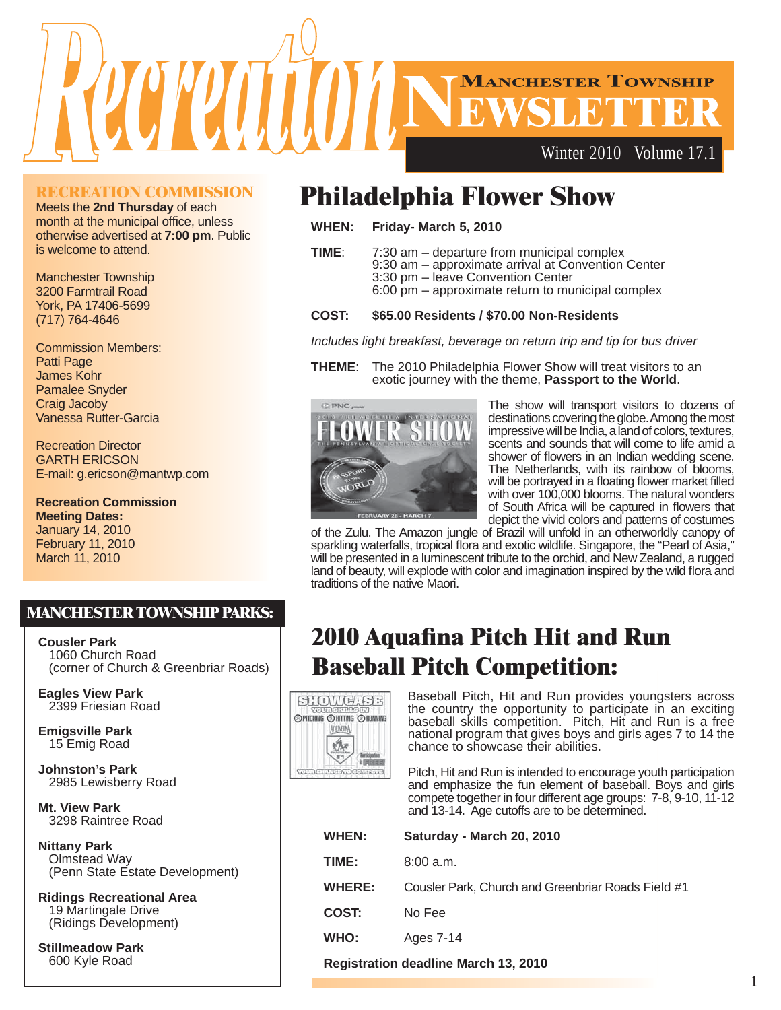

#### **RECREATION COMMISSION**

Meets the **2nd Thursday** of each month at the municipal office, unless otherwise advertised at **7:00 pm**. Public is welcome to attend.

Manchester Township 3200 Farmtrail Road York, PA 17406-5699 (717) 764-4646

Commission Members: Patti Page James Kohr Pamalee Snyder Craig Jacoby Vanessa Rutter-Garcia

Recreation Director GARTH ERICSON E-mail: g.ericson@mantwp.com

**Recreation Commission Meeting Dates:** January 14, 2010 February 11, 2010 March 11, 2010

### **MANCHESTER TOWNSHIP PARKS:**

**Cousler Park** 1060 Church Road (corner of Church & Greenbriar Roads)

**Eagles View Park** 2399 Friesian Road

**Emigsville Park** 15 Emig Road

**Johnston's Park** 2985 Lewisberry Road

**Mt. View Park** 3298 Raintree Road **MANCHESTER TOWNSHIP PARKS:**

**Nittany Park** Olmstead Way (Penn State Estate Development)

**Ridings Recreational Area** 19 Martingale Drive (Ridings Development)

**Stillmeadow Park** 600 Kyle Road

### **Philadelphia Flower Show**

**WHEN: Friday- March 5, 2010**

**TIME**: 7:30 am – departure from municipal complex 9:30 am – approximate arrival at Convention Center

- 3:30 pm leave Convention Center
- 6:00 pm approximate return to municipal complex

#### **COST: \$65.00 Residents / \$70.00 Non-Residents**

*Includes light breakfast, beverage on return trip and tip for bus driver*

**THEME**: The 2010 Philadelphia Flower Show will treat visitors to an exotic journey with the theme, **Passport to the World**.



The show will transport visitors to dozens of destinations covering the globe. Among the most impressive will be India, a land of colors, textures, scents and sounds that will come to life amid a shower of flowers in an Indian wedding scene. The Netherlands, with its rainbow of blooms, will be portrayed in a floating flower market filled with over 100,000 blooms. The natural wonders of South Africa will be captured in flowers that depict the vivid colors and patterns of costumes

of the Zulu. The Amazon jungle of Brazil will unfold in an otherworldly canopy of sparkling waterfalls, tropical flora and exotic wildlife. Singapore, the "Pearl of Asia," will be presented in a luminescent tribute to the orchid, and New Zealand, a rugged land of beauty, will explode with color and imagination inspired by the wild flora and traditions of the native Maori.

### **2010 Aquafina Pitch Hit and Run Baseball Pitch Competition:**



Baseball Pitch, Hit and Run provides youngsters across the country the opportunity to participate in an exciting baseball skills competition. Pitch, Hit and Run is a free national program that gives boys and girls ages 7 to 14 the chance to showcase their abilities.

Pitch, Hit and Run is intended to encourage youth participation and emphasize the fun element of baseball. Boys and girls compete together in four different age groups: 7-8, 9-10, 11-12 and 13-14. Age cutoffs are to be determined.

| WHEN:         | Saturday - March 20, 2010                          |
|---------------|----------------------------------------------------|
| TIME:         | 8:00a.m.                                           |
| <b>WHERE:</b> | Cousler Park, Church and Greenbriar Roads Field #1 |
| COST:         | No Fee                                             |
| WHO:          | Ages 7-14                                          |
|               |                                                    |

**Registration deadline March 13, 2010**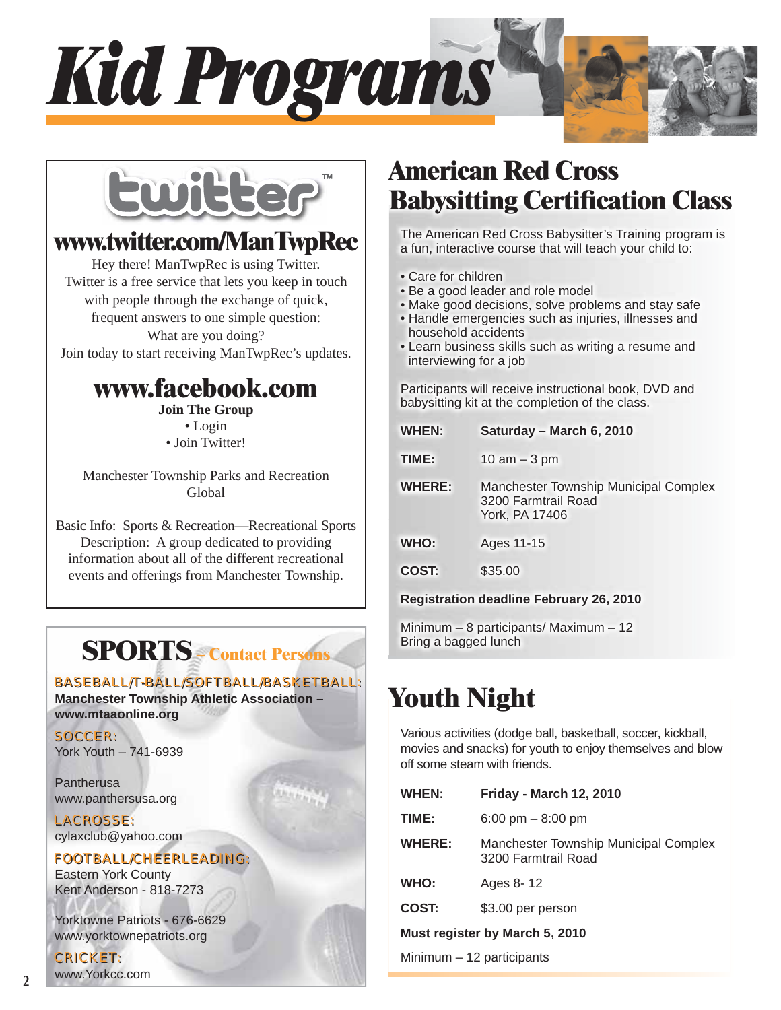



### **www.twitter.com/ManTwpRec**

Hey there! ManTwpRec is using Twitter. Twitter is a free service that lets you keep in touch with people through the exchange of quick, frequent answers to one simple question: What are you doing? Join today to start receiving ManTwpRec's updates.

### **www.facebook.com**

**Join The Group** • Login • Join Twitter!

Manchester Township Parks and Recreation Global

Basic Info: Sports & Recreation—Recreational Sports Description: A group dedicated to providing information about all of the different recreational events and offerings from Manchester Township.

**SPORTS – Contact Persons**

### BASEBALL/T-BALL/SOFTBALL/BASKETBALL: BASEBALL/T-BALL/SOFTBALL/BASKETBALL:

**Manchester Township Athletic Association – www.mtaaonline.org**

SOCCER: SOCCER: York Youth – 741-6939

**Pantherusa** www.panthersusa.org

LACROSSE: LACROSSE: cylaxclub@yahoo.com

### FOOTBALL/CHEERLEADING: FOOTBALL/CHEERLEADING:

Eastern York County Kent Anderson - 818-7273

Yorktowne Patriots - 676-6629 www.yorktownepatriots.org

### CRICKET: CRICKET:

www.Yorkcc.com

### **American Red Cross Babysitting Certification Class**

The American Red Cross Babysitter's Training program is a fun, interactive course that will teach your child to:

- Care for children
- Be a good leader and role model
- Make good decisions, solve problems and stay safe
- Handle emergencies such as injuries, illnesses and household accidents
- Learn business skills such as writing a resume and interviewing for a job

Participants will receive instructional book, DVD and babysitting kit at the completion of the class.

| WHEN:                                          | Saturday - March 6, 2010                                                              |  |
|------------------------------------------------|---------------------------------------------------------------------------------------|--|
| TIME:                                          | 10 am $-$ 3 pm                                                                        |  |
| <b>WHERE:</b>                                  | <b>Manchester Township Municipal Complex</b><br>3200 Farmtrail Road<br>York, PA 17406 |  |
| WHO:                                           | Ages 11-15                                                                            |  |
| COST:                                          | \$35.00                                                                               |  |
| <b>Registration deadline February 26, 2010</b> |                                                                                       |  |

Minimum – 8 participants/ Maximum – 12 Bring a bagged lunch

# **Youth Night**

Various activities (dodge ball, basketball, soccer, kickball, movies and snacks) for youth to enjoy themselves and blow off some steam with friends.

| WHEN:                          | <b>Friday - March 12, 2010</b>                               |  |
|--------------------------------|--------------------------------------------------------------|--|
| TIME:                          | 6:00 pm $-8:00$ pm                                           |  |
| <b>WHERE:</b>                  | Manchester Township Municipal Complex<br>3200 Farmtrail Road |  |
| WHO:                           | Ages 8-12                                                    |  |
| COST:                          | \$3.00 per person                                            |  |
| Must register by March 5, 2010 |                                                              |  |
|                                |                                                              |  |

Minimum – 12 participants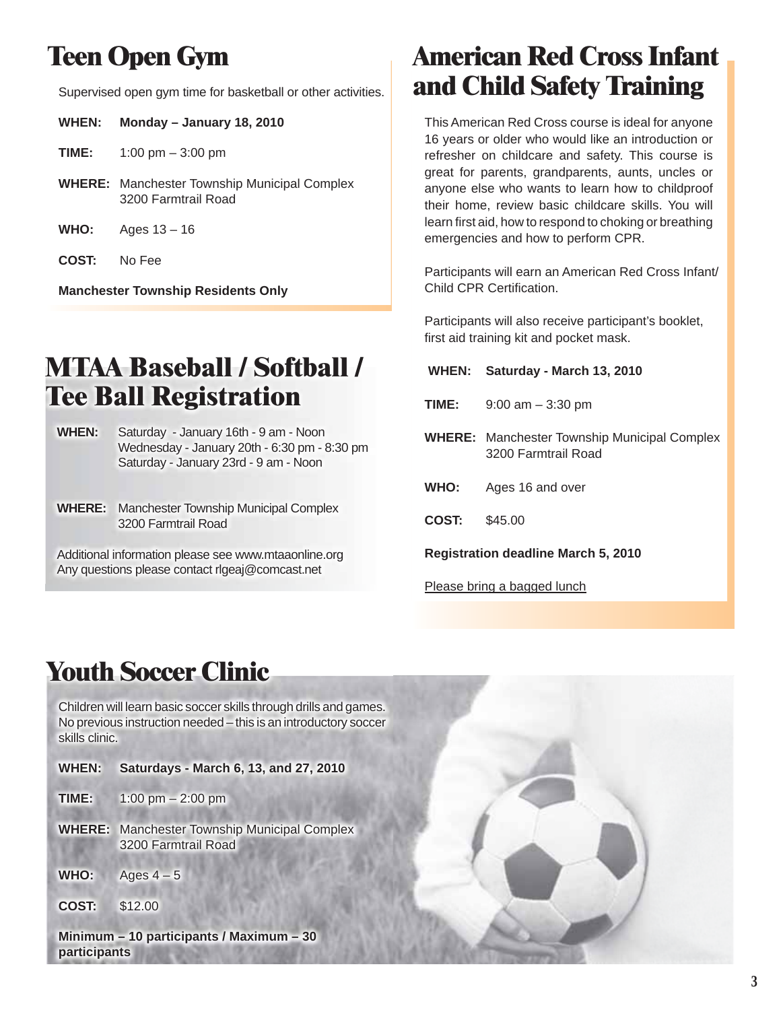# **Teen Open Gym**

Supervised open gym time for basketball or other activities.

| <b>WHEN:</b> | Monday - January 18, 2010                                                  |
|--------------|----------------------------------------------------------------------------|
| TIME:        | 1:00 pm $-$ 3:00 pm                                                        |
|              | <b>WHERE:</b> Manchester Township Municipal Complex<br>3200 Farmtrail Road |
|              | $\sqrt{2}$                                                                 |

- **WHO:** Ages 13 16
- **COST:** No Fee

**Manchester Township Residents Only**

### **MTAA Baseball / Softball / Tee Ball Registration**

- **WHEN:** Saturday January 16th 9 am Noon Wednesday - January 20th - 6:30 pm - 8:30 pm Saturday - January 23rd - 9 am - Noon
- **WHERE:** Manchester Township Municipal Complex 3200 Farmtrail Road

Additional information please see www.mtaaonline.org Any questions please contact rlgeaj@comcast.net

### **American Red Cross Infant and Child Safety Training**

This American Red Cross course is ideal for anyone 16 years or older who would like an introduction or refresher on childcare and safety. This course is great for parents, grandparents, aunts, uncles or anyone else who wants to learn how to childproof their home, review basic childcare skills. You will learn first aid, how to respond to choking or breathing emergencies and how to perform CPR.

Participants will earn an American Red Cross Infant/ Child CPR Certification.

Participants will also receive participant's booklet, first aid training kit and pocket mask.

| <b>WHEN:</b>                        | Saturday - March 13, 2010                                                  |  |
|-------------------------------------|----------------------------------------------------------------------------|--|
| TIME:                               | $9:00$ am $-3:30$ pm                                                       |  |
|                                     | <b>WHERE:</b> Manchester Township Municipal Complex<br>3200 Farmtrail Road |  |
| <b>WHO:</b>                         | Ages 16 and over                                                           |  |
| COST:                               | \$45.00                                                                    |  |
| Registration deadline March 5, 2010 |                                                                            |  |

Please bring a bagged lunch

# **Youth Soccer Clinic**

Children will learn basic soccer skills through drills and games. No previous instruction needed – this is an introductory soccer skills clinic.

- **WHEN: Saturdays March 6, 13, and 27, 2010**
- **TIME:** 1:00 pm 2:00 pm
- **WHERE:** Manchester Township Municipal Complex 3200 Farmtrail Road
- **WHO:** Ages  $4-5$
- **COST:** \$12.00

**Minimum – 10 participants / Maximum – 30 participants**

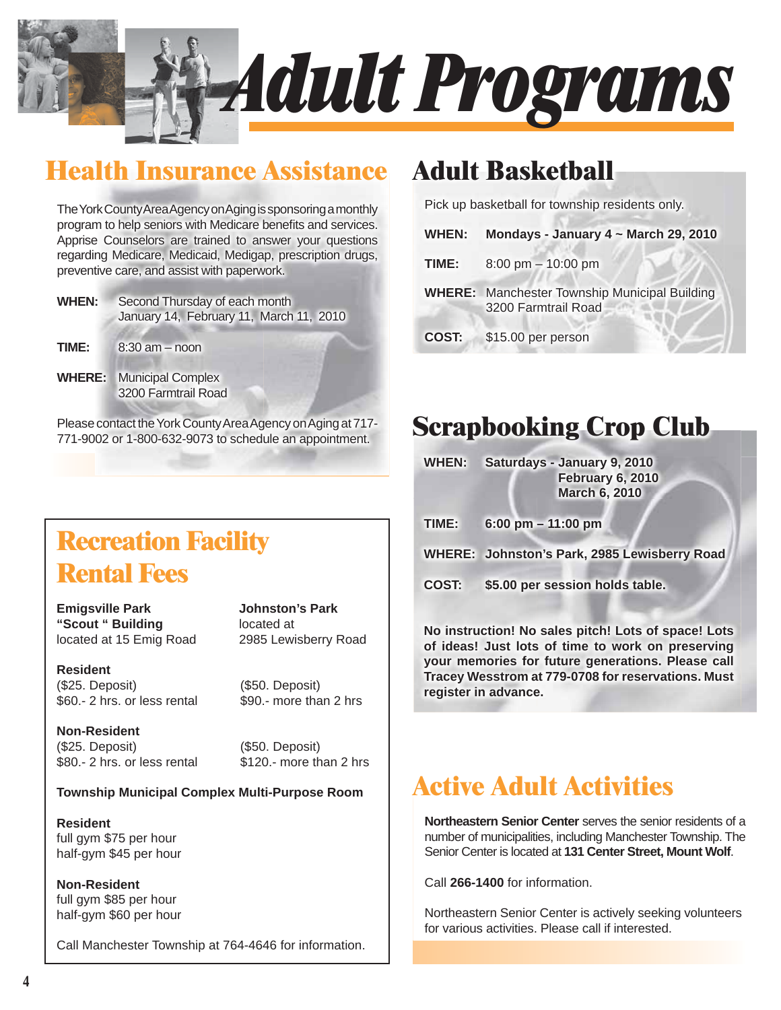

### **Health Insurance Assistance**

The York County Area Agency on Aging is sponsoring a monthly program to help seniors with Medicare benefits and services. Apprise Counselors are trained to answer your questions regarding Medicare, Medicaid, Medigap, prescription drugs, preventive care, and assist with paperwork.

- **WHEN:** Second Thursday of each month January 14, February 11, March 11, 2010
- **TIME:** 8:30 am noon
- **WHERE:** Municipal Complex 3200 Farmtrail Road

Please contact the York County Area Agency on Aging at 717- 771-9002 or 1-800-632-9073 to schedule an appointment.

### **WHERE:** Manchester Township Municipal Building 3200 Farmtrail Road

**COST:** \$15.00 per person

**TIME:** 8:00 pm – 10:00 pm

**Adult Basketball**

### **Scrapbooking Crop Club**

Pick up basketball for township residents only.

**WHEN: Mondays - January 4 ~ March 29, 2010**

**WHEN: Saturdays - January 9, 2010**

**February 6, 2010 March 6, 2010**

**TIME: 6:00 pm – 11:00 pm**

**WHERE: Johnston's Park, 2985 Lewisberry Road**

**COST: \$5.00 per session holds table.**

**No instruction! No sales pitch! Lots of space! Lots of ideas! Just lots of time to work on preserving your memories for future generations. Please call Tracey Wesstrom at 779-0708 for reservations. Must register in advance.**

### **Active Adult Activities**

**Northeastern Senior Center** serves the senior residents of a number of municipalities, including Manchester Township. The Senior Center is located at **131 Center Street, Mount Wolf**.

Call **266-1400** for information.

Northeastern Senior Center is actively seeking volunteers for various activities. Please call if interested.

### **Recreation Facility Rental Fees**

**Emigsville Park Johnston's Park "Scout " Building** located at located at 15 Emig Road 2985 Lewisberry Road

**Resident** (\$25. Deposit) (\$50. Deposit)  $$60.- 2$  hrs. or less rental  $$90.-$  more than 2 hrs

**Non-Resident** (\$25. Deposit) (\$50. Deposit) \$80.- 2 hrs. or less rental \$120.- more than 2 hrs

### **Township Municipal Complex Multi-Purpose Room**

**Resident** full gym \$75 per hour half-gym \$45 per hour

**Non-Resident** full gym \$85 per hour half-gym \$60 per hour

Call Manchester Township at 764-4646 for information.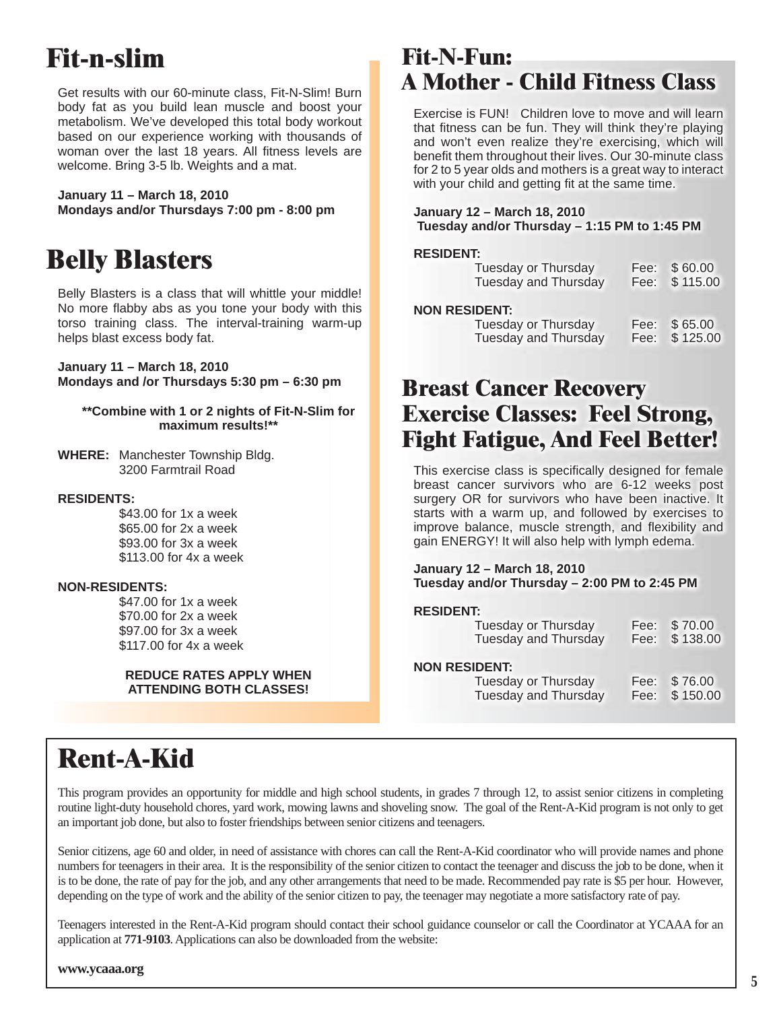# **Fit-n-slim**

Get results with our 60-minute class, Fit-N-Slim! Burn body fat as you build lean muscle and boost your metabolism. We've developed this total body workout based on our experience working with thousands of woman over the last 18 years. All fitness levels are welcome. Bring 3-5 lb. Weights and a mat.

**January 11 – March 18, 2010 Mondays and/or Thursdays 7:00 pm - 8:00 pm**

### **Belly Blasters**

Belly Blasters is a class that will whittle your middle! No more flabby abs as you tone your body with this torso training class. The interval-training warm-up helps blast excess body fat.

**January 11 – March 18, 2010 Mondays and /or Thursdays 5:30 pm – 6:30 pm**

#### **\*\*Combine with 1 or 2 nights of Fit-N-Slim for maximum results!\*\***

**WHERE:** Manchester Township Bldg. 3200 Farmtrail Road

#### **RESIDENTS:**

 \$43.00 for 1x a week \$65.00 for 2x a week \$93.00 for 3x a week \$113.00 for 4x a week

#### **NON-RESIDENTS:**

 \$47.00 for 1x a week \$70.00 for 2x a week \$97.00 for 3x a week \$117.00 for 4x a week

#### **REDUCE RATES APPLY WHEN ATTENDING BOTH CLASSES!**

### **Fit-N-Fun: A Mother - Child Fitness Class**

Exercise is FUN! Children love to move and will learn that fitness can be fun. They will think they're playing and won't even realize they're exercising, which will benefit them throughout their lives. Our 30-minute class for 2 to 5 year olds and mothers is a great way to interact with your child and getting fit at the same time.

#### **January 12 – March 18, 2010 Tuesday and/or Thursday – 1:15 PM to 1:45 PM**

#### **RESIDENT:**

| <b>Tuesday or Thursday</b><br><b>Tuesday and Thursday</b> | Fee: | \$60.00<br>Fee: \$115.00 |
|-----------------------------------------------------------|------|--------------------------|
| <b>NON RESIDENT:</b><br><b>Tuesday or Thursday</b>        | Fee: | \$65.00<br>Fee: \$125.00 |
| <b>Tuesday and Thursday</b>                               |      |                          |

### **Breast Cancer Recovery Exercise Classes: Feel Strong, Fight Fatigue, And Feel Better!**

This exercise class is specifically designed for female breast cancer survivors who are 6-12 weeks post surgery OR for survivors who have been inactive. It starts with a warm up, and followed by exercises to improve balance, muscle strength, and flexibility and gain ENERGY! It will also help with lymph edema.

#### **January 12 – March 18, 2010 Tuesday and/or Thursday – 2:00 PM to 2:45 PM**

#### **RESIDENT:**

| Tuesday or Thursday<br><b>Tuesday and Thursday</b>                         | Fee:         | \$70.00<br>Fee: \$138.00 |
|----------------------------------------------------------------------------|--------------|--------------------------|
| <b>NON RESIDENT:</b><br>Tuesday or Thursday<br><b>Tuesday and Thursday</b> | Fee:<br>Fee: | \$76.00<br>\$150.00      |

# **Rent-A-Kid**

This program provides an opportunity for middle and high school students, in grades 7 through 12, to assist senior citizens in completing routine light-duty household chores, yard work, mowing lawns and shoveling snow. The goal of the Rent-A-Kid program is not only to get an important job done, but also to foster friendships between senior citizens and teenagers.

Senior citizens, age 60 and older, in need of assistance with chores can call the Rent-A-Kid coordinator who will provide names and phone numbers for teenagers in their area. It is the responsibility of the senior citizen to contact the teenager and discuss the job to be done, when it is to be done, the rate of pay for the job, and any other arrangements that need to be made. Recommended pay rate is \$5 per hour. However, depending on the type of work and the ability of the senior citizen to pay, the teenager may negotiate a more satisfactory rate of pay.

Teenagers interested in the Rent-A-Kid program should contact their school guidance counselor or call the Coordinator at YCAAA for an application at **771-9103**. Applications can also be downloaded from the website:

**www.ycaaa.org**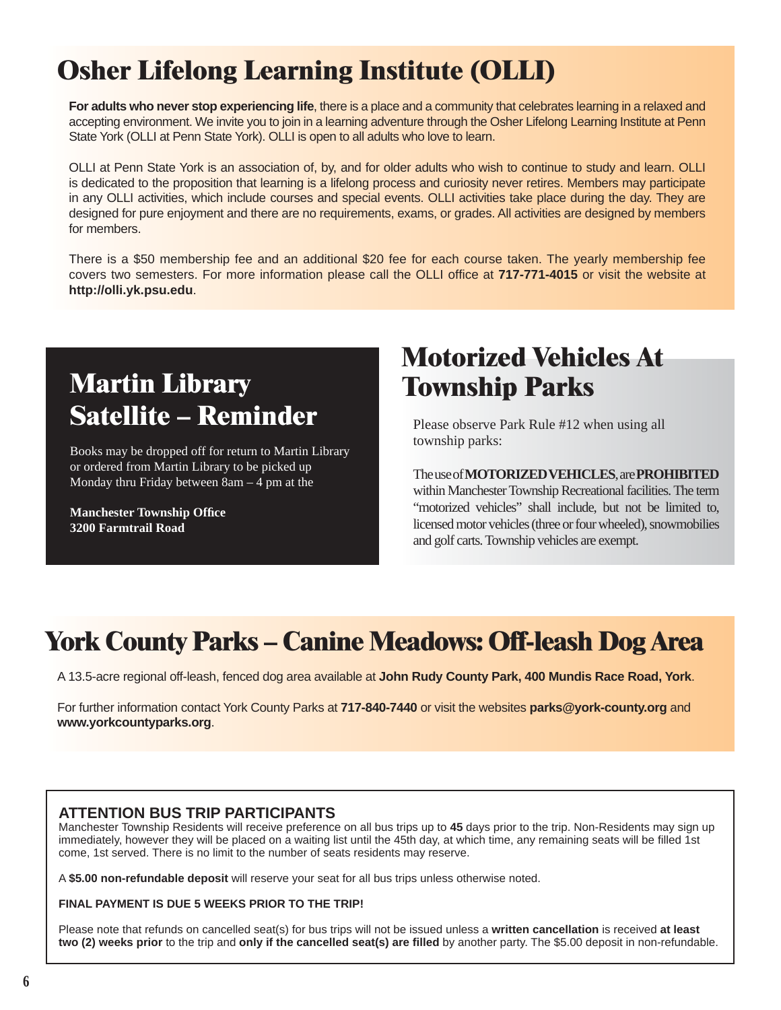# **Osher Lifelong Learning Institute (OLLI)**

**For adults who never stop experiencing life**, there is a place and a community that celebrates learning in a relaxed and accepting environment. We invite you to join in a learning adventure through the Osher Lifelong Learning Institute at Penn State York (OLLI at Penn State York). OLLI is open to all adults who love to learn.

OLLI at Penn State York is an association of, by, and for older adults who wish to continue to study and learn. OLLI is dedicated to the proposition that learning is a lifelong process and curiosity never retires. Members may participate in any OLLI activities, which include courses and special events. OLLI activities take place during the day. They are designed for pure enjoyment and there are no requirements, exams, or grades. All activities are designed by members for members.

There is a \$50 membership fee and an additional \$20 fee for each course taken. The yearly membership fee covers two semesters. For more information please call the OLLI office at 717-771-4015 or visit the website at **http://olli.yk.psu.edu**.

# **Martin Library Satellite – Reminder**

Books may be dropped off for return to Martin Library or ordered from Martin Library to be picked up Monday thru Friday between 8am – 4 pm at the

**Manchester Township Office 3200 Farmtrail Road**

### **Motorized Vehicles At Township Parks**

Please observe Park Rule #12 when using all township parks:

#### The use of **MOTORIZED VEHICLES**, are **PROHIBITED** within Manchester Township Recreational facilities. The term "motorized vehicles" shall include, but not be limited to, licensed motor vehicles (three or four wheeled), snowmobilies and golf carts. Township vehicles are exempt.

### **York County Parks – Canine Meadows: Off-leash Dog Area**

A 13.5-acre regional off-leash, fenced dog area available at **John Rudy County Park, 400 Mundis Race Road, York**.

For further information contact York County Parks at **717-840-7440** or visit the websites **parks@york-county.org** and **www.yorkcountyparks.org**.

### **ATTENTION BUS TRIP PARTICIPANTS**

Manchester Township Residents will receive preference on all bus trips up to **45** days prior to the trip. Non-Residents may sign up immediately, however they will be placed on a waiting list until the 45th day, at which time, any remaining seats will be filled 1st come, 1st served. There is no limit to the number of seats residents may reserve.

A **\$5.00 non-refundable deposit** will reserve your seat for all bus trips unless otherwise noted.

#### **FINAL PAYMENT IS DUE 5 WEEKS PRIOR TO THE TRIP!**

Please note that refunds on cancelled seat(s) for bus trips will not be issued unless a **written cancellation** is received **at least two (2) weeks prior** to the trip and **only if the cancelled seat(s) are fi lled** by another party. The \$5.00 deposit in non-refundable.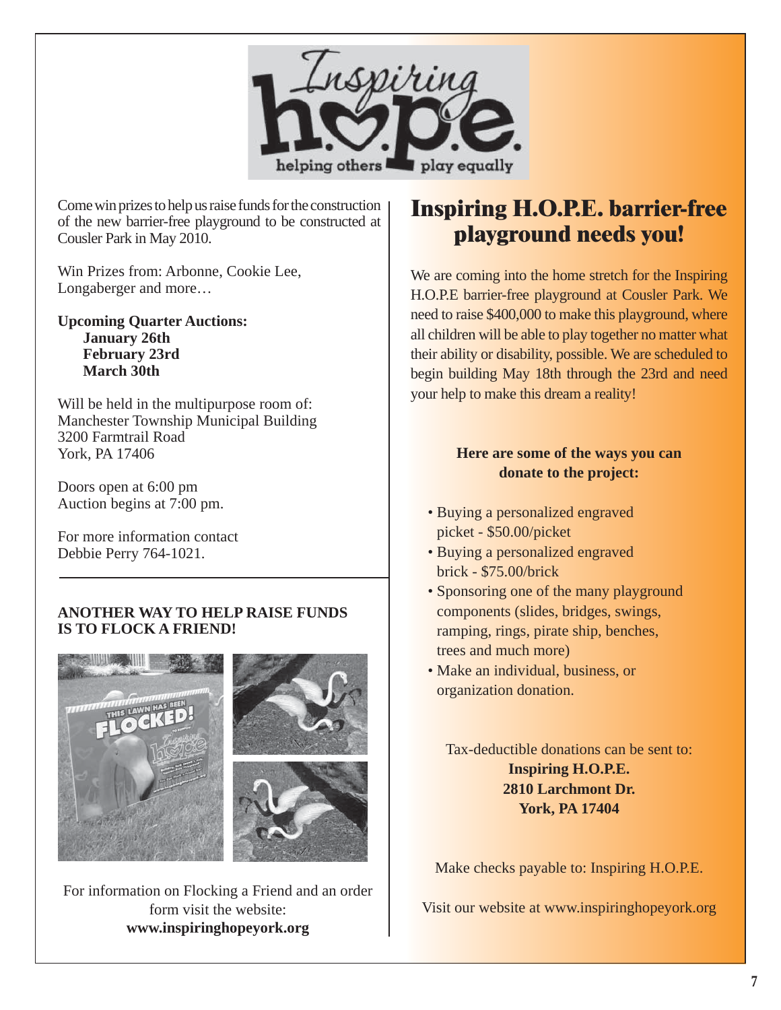

Come win prizes to help us raise funds for the construction of the new barrier-free playground to be constructed at Cousler Park in May 2010.

Win Prizes from: Arbonne, Cookie Lee, Longaberger and more…

**Upcoming Quarter Auctions: January 26th February 23rd March 30th**

Will be held in the multipurpose room of: Manchester Township Municipal Building 3200 Farmtrail Road York, PA 17406

Doors open at 6:00 pm Auction begins at 7:00 pm.

For more information contact Debbie Perry 764-1021.

### **ANOTHER WAY TO HELP RAISE FUNDS IS TO FLOCK A FRIEND!**



For information on Flocking a Friend and an order form visit the website: **www.inspiringhopeyork.org**

### **Inspiring H.O.P.E. barrier-free playground needs you!**

We are coming into the home stretch for the Inspiring H.O.P.E barrier-free playground at Cousler Park. We need to raise \$400,000 to make this playground, where all children will be able to play together no matter what their ability or disability, possible. We are scheduled to begin building May 18th through the 23rd and need your help to make this dream a reality!

### **Here are some of the ways you can donate to the project:**

- Buying a personalized engraved picket - \$50.00/picket
- Buying a personalized engraved brick - \$75.00/brick
- Sponsoring one of the many playground components (slides, bridges, swings, ramping, rings, pirate ship, benches, trees and much more)
- Make an individual, business, or organization donation.

Tax-deductible donations can be sent to: **Inspiring H.O.P.E. 2810 Larchmont Dr. York, PA 17404**

Make checks payable to: Inspiring H.O.P.E.

Visit our website at www.inspiringhopeyork.org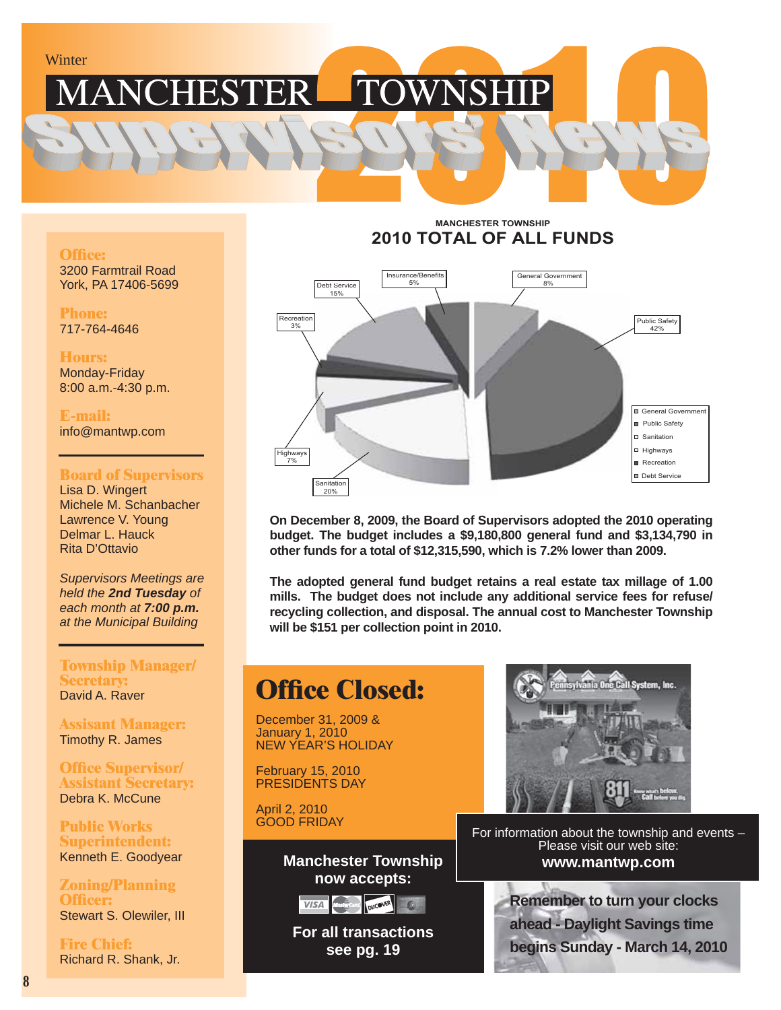### **TOWNSHIP** CHESTER

#### **Office:**

3200 Farmtrail Road York, PA 17406-5699

**Phone:** 717-764-4646

**Hours:** Monday-Friday 8:00 a.m.-4:30 p.m.

**E-mail:** info@mantwp.com

#### **Board of Supervisors**

Lisa D. Wingert Michele M. Schanbacher Lawrence V. Young Delmar L. Hauck Rita D'Ottavio

*Supervisors Meetings are held the 2nd Tuesday of each month at 7:00 p.m. at the Municipal Building*

#### **Township Manager/ Secretary:** David A. Raver

**Assisant Manager:** Timothy R. James

**Office Supervisor/ Assistant Secretary:** Debra K. McCune

**Public Works Superintendent:** Kenneth E. Goodyear

**Zoning/Planning Offi cer:** Stewart S. Olewiler, III

**Fire Chief:** Richard R. Shank, Jr.

#### **MANCHESTER TOWNSHIP 2010 TOTAL OF ALL FUNDS**



**On December 8, 2009, the Board of Supervisors adopted the 2010 operating budget. The budget includes a \$9,180,800 general fund and \$3,134,790 in other funds for a total of \$12,315,590, which is 7.2% lower than 2009.**

**The adopted general fund budget retains a real estate tax millage of 1.00 mills. The budget does not include any additional service fees for refuse/ recycling collection, and disposal. The annual cost to Manchester Township will be \$151 per collection point in 2010.**

### **Office Closed:**

December 31, 2009 & January 1, 2010 NEW YEAR'S HOLIDAY

February 15, 2010 PRESIDENTS DAY

April 2, 2010 GOOD FRIDAY

> **Manchester Township now accepts:**



**For all transactions see pg. 19**



For information about the township and events – Please visit our web site: **www.mantwp.com**

**TISA CONGLETE AND REMEMBER TO TURN YOUR Clocks ahead - Daylight Savings time begins Sunday - March 14, 2010**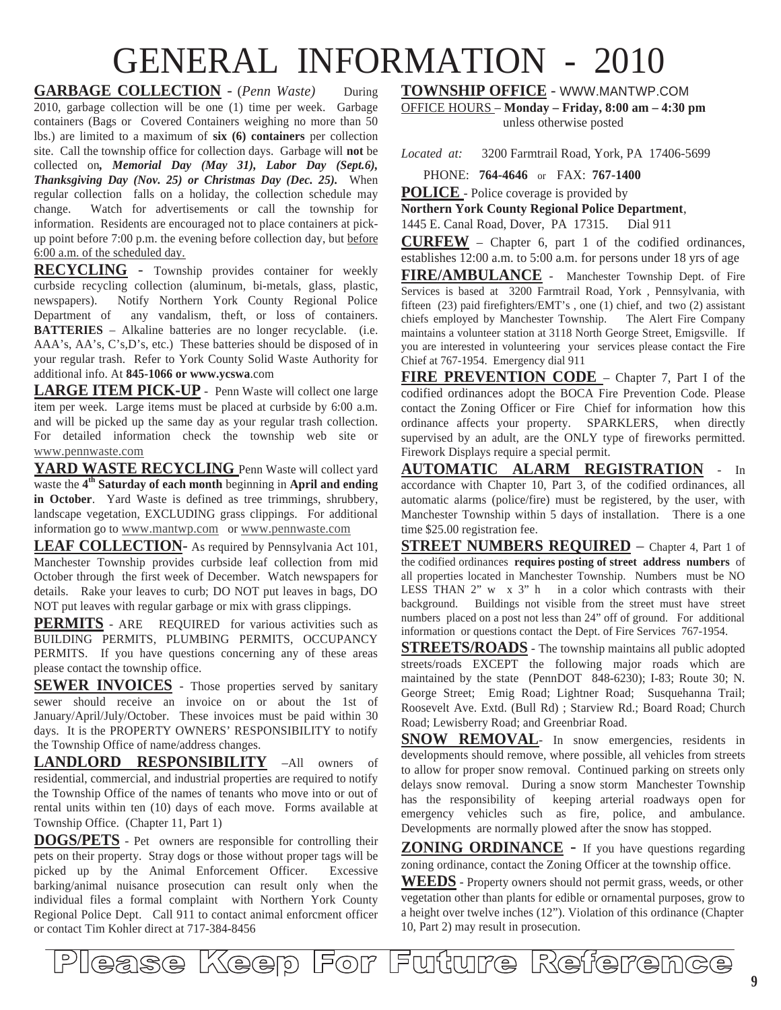# GENERAL INFORMATION - 2010

**GARBAGE COLLECTION** - (*Penn Waste*) During 2010, garbage collection will be one (1) time per week. Garbage containers (Bags or Covered Containers weighing no more than 50 lbs.) are limited to a maximum of **six (6) containers** per collection site. Call the township office for collection days. Garbage will **not** be collected on*, Memorial Day (May 31), Labor Day (Sept.6), Thanksgiving Day (Nov. 25) or Christmas Day (Dec. 25).* When regular collection falls on a holiday, the collection schedule may change. Watch for advertisements or call the township for information. Residents are encouraged not to place containers at pickup point before 7:00 p.m. the evening before collection day, but before 6:00 a.m. of the scheduled day.

**RECYCLING** - Township provides container for weekly curbside recycling collection (aluminum, bi-metals, glass, plastic, newspapers). Notify Northern York County Regional Police Department of any vandalism, theft, or loss of containers. **BATTERIES** – Alkaline batteries are no longer recyclable. (i.e. AAA's, AA's, C's,D's, etc.) These batteries should be disposed of in your regular trash. Refer to York County Solid Waste Authority for additional info. At **845-1066 or www.ycswa**.com

**LARGE ITEM PICK-UP** - Penn Waste will collect one large item per week. Large items must be placed at curbside by 6:00 a.m. and will be picked up the same day as your regular trash collection. For detailed information check the township web site or www.pennwaste.com

YARD WASTE RECYCLING Penn Waste will collect yard waste the **4th Saturday of each month** beginning in **April and ending in October**. Yard Waste is defined as tree trimmings, shrubbery, landscape vegetation, EXCLUDING grass clippings. For additional information go to www.mantwp.com or www.pennwaste.com

**LEAF COLLECTION**- As required by Pennsylvania Act 101, Manchester Township provides curbside leaf collection from mid October through the first week of December. Watch newspapers for details. Rake your leaves to curb; DO NOT put leaves in bags, DO NOT put leaves with regular garbage or mix with grass clippings.

**PERMITS** - ARE REQUIRED for various activities such as BUILDING PERMITS, PLUMBING PERMITS, OCCUPANCY PERMITS. If you have questions concerning any of these areas please contact the township office.

**SEWER INVOICES** - Those properties served by sanitary sewer should receive an invoice on or about the 1st of January/April/July/October. These invoices must be paid within 30 days. It is the PROPERTY OWNERS' RESPONSIBILITY to notify the Township Office of name/address changes.

**LANDLORD RESPONSIBILITY** –All owners of residential, commercial, and industrial properties are required to notify the Township Office of the names of tenants who move into or out of rental units within ten (10) days of each move. Forms available at Township Office. (Chapter 11, Part 1)

**DOGS/PETS** - Pet owners are responsible for controlling their pets on their property. Stray dogs or those without proper tags will be picked up by the Animal Enforcement Officer. Excessive barking/animal nuisance prosecution can result only when the individual files a formal complaint with Northern York County Regional Police Dept. Call 911 to contact animal enforcment officer or contact Tim Kohler direct at 717-384-8456

**TOWNSHIP OFFICE** - WWW.MANTWP.COM OFFICE HOURS – **Monday – Friday, 8:00 am – 4:30 pm**

unless otherwise posted

*Located at:* 3200 Farmtrail Road, York, PA 17406-5699

PHONE: **764-4646** or FAX: **767-1400**

**POLICE** - Police coverage is provided by

**Northern York County Regional Police Department**,

1445 E. Canal Road, Dover, PA 17315. Dial 911

**CURFEW** – Chapter 6, part 1 of the codified ordinances, establishes 12:00 a.m. to 5:00 a.m. for persons under 18 yrs of age

**FIRE/AMBULANCE** - Manchester Township Dept. of Fire Services is based at 3200 Farmtrail Road, York , Pennsylvania, with fifteen (23) paid firefighters/EMT's , one (1) chief, and two (2) assistant chiefs employed by Manchester Township. The Alert Fire Company maintains a volunteer station at 3118 North George Street, Emigsville. If you are interested in volunteering your services please contact the Fire Chief at 767-1954. Emergency dial 911

FIRE PREVENTION CODE - Chapter 7, Part I of the codified ordinances adopt the BOCA Fire Prevention Code. Please contact the Zoning Officer or Fire Chief for information how this ordinance affects your property. SPARKLERS, when directly supervised by an adult, are the ONLY type of fireworks permitted. Firework Displays require a special permit.

**AUTOMATIC ALARM REGISTRATION** - In accordance with Chapter 10, Part 3, of the codified ordinances, all automatic alarms (police/fire) must be registered, by the user, with Manchester Township within 5 days of installation. There is a one time \$25.00 registration fee.

**STREET NUMBERS REQUIRED** – Chapter 4, Part 1 of the codified ordinances **requires posting of street address numbers** of all properties located in Manchester Township. Numbers must be NO LESS THAN 2" w x 3" h in a color which contrasts with their background. Buildings not visible from the street must have street numbers placed on a post not less than 24" off of ground. For additional information or questions contact the Dept. of Fire Services 767-1954.

**STREETS/ROADS** - The township maintains all public adopted streets/roads EXCEPT the following major roads which are maintained by the state (PennDOT 848-6230); I-83; Route 30; N. George Street; Emig Road; Lightner Road; Susquehanna Trail; Roosevelt Ave. Extd. (Bull Rd) ; Starview Rd.; Board Road; Church Road; Lewisberry Road; and Greenbriar Road.

**SNOW REMOVAL**- In snow emergencies, residents in developments should remove, where possible, all vehicles from streets to allow for proper snow removal. Continued parking on streets only delays snow removal. During a snow storm Manchester Township has the responsibility of keeping arterial roadways open for emergency vehicles such as fire, police, and ambulance. Developments are normally plowed after the snow has stopped.

**ZONING ORDINANCE** - If you have questions regarding zoning ordinance, contact the Zoning Officer at the township office.

**WEEDS** - Property owners should not permit grass, weeds, or other vegetation other than plants for edible or ornamental purposes, grow to a height over twelve inches (12"). Violation of this ordinance (Chapter 10, Part 2) may result in prosecution.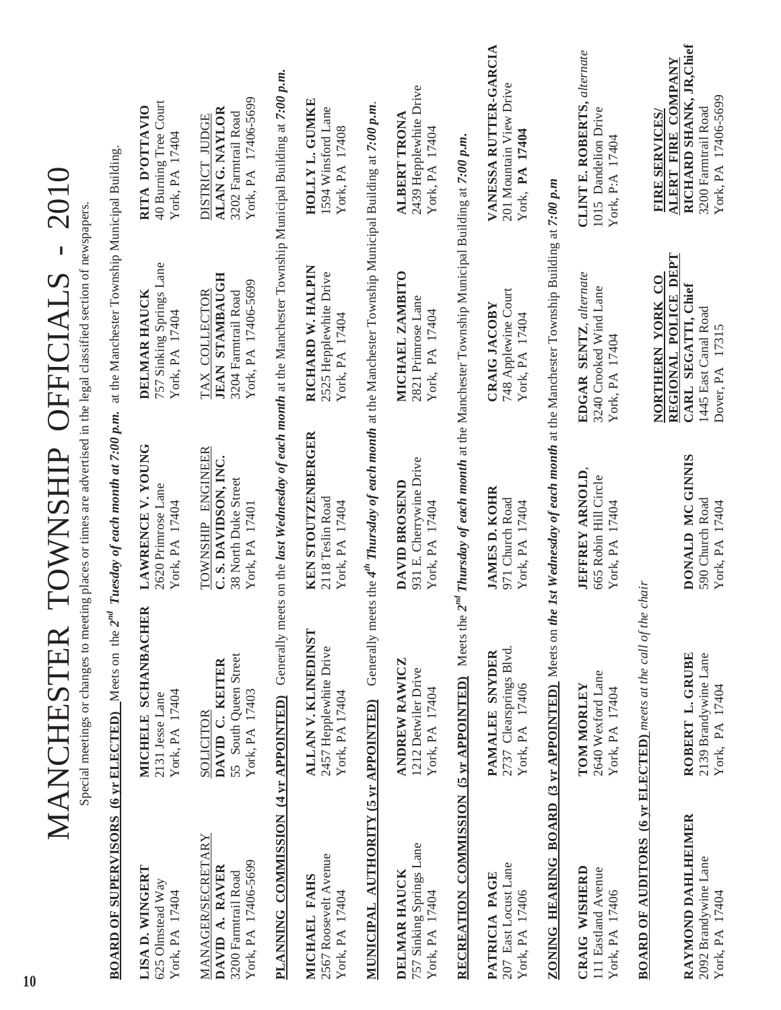|                                                                                          | Special meetings or changes to meeting places or times are advertised in the legal classified section of newspapers<br>MANCHESTER                          |                                                                                     | TOWNSHIP OFFICIALS - 2010                                                                                     |                                                                                                                      |
|------------------------------------------------------------------------------------------|------------------------------------------------------------------------------------------------------------------------------------------------------------|-------------------------------------------------------------------------------------|---------------------------------------------------------------------------------------------------------------|----------------------------------------------------------------------------------------------------------------------|
|                                                                                          | <b>BOARD OF SUPERVISORS (6 yr ELECTED)</b> Meets on the 2nd                                                                                                |                                                                                     | Tuesday of each month at 7:00 p.m. at the Manchester Township Municipal Building.                             |                                                                                                                      |
| LISA D. WINGERT<br>625 Olmstead Way<br>York, PA 17404                                    | MICHELE SCHANBACHER<br>York, PA 17404<br>2131 Jesse Lane                                                                                                   | LAWRENCE V. YOUNG<br>2620 Primrose Lane<br>York, PA 17404                           | 757 Sinking Springs Lane<br>DELMAR HAUCK<br>York, PA 17404                                                    | 40 Burning Tree Court<br>RITA D'OTTAVIO<br>York, PA 17404                                                            |
| <b>MANAGER/SECRETARY</b><br>York, PA 17406-5699<br>DAVID A. RAVER<br>3200 Farmtrail Road | 55 South Queen Street<br>DAVID C. KEITER<br>York, PA 17403<br>SOLICITOR                                                                                    | TOWNSHIP ENGINEER<br>C. S. DAVIDSON, INC.<br>38 North Duke Street<br>York, PA 17401 | <b>JEAN STAMBAUGH</b><br>York, PA 17406-5699<br>3204 Farmtrail Road<br>TAX COLLECTOR                          | York, PA 17406-5699<br><b>ALANG. NAYLOR</b><br>3202 Farmtrail Road<br>DISTRICT JUDGE                                 |
|                                                                                          | <b>PLANNING</b> COMMISSION (4 yr APPOINTED) Generally meets on the last Wednesday of each month at the Manchester Township Municipal Building at 7:00 p.m. |                                                                                     |                                                                                                               |                                                                                                                      |
| 2567 Roosevelt Avenue<br>MICHAEL FAHS<br>York, PA 17404                                  | ALLAN V. KLINEDINST<br>2457 Hepplewhite Drive<br>York, PA 17404                                                                                            | <b>KEN STOUTZENBERGER</b><br>2118 Teslin Road<br>York, PA 17404                     | RICHARD W. HALPIN<br>2525 Hepplewhite Drive<br>York, PA 17404                                                 | HOLLY L. GUMKE<br>1594 Winsford Lane<br>York, PA 17408                                                               |
| MUNICIPAL AUTHORITY (5 yr APPOINTED)                                                     |                                                                                                                                                            |                                                                                     | Generally meets the $4^{th}$ Thursday of each month at the Manchester Township Municipal Building at 7:00 p.m |                                                                                                                      |
| 757 Sinking Springs Lane<br>DELMAR HAUCK<br>York, PA 17404                               | <b>ANDREW RAWICZ</b><br>1212 Detwiler Drive<br>York, PA 17404                                                                                              | 931 E. Cherrywine Drive<br>DAVID BROSEND<br>York, PA 17404                          | MICHAEL ZAMBITO<br>2821 Primrose Lane<br>York, PA 17404                                                       | 2439 Hepplewhite Drive<br><b>ALBERT TRONA</b><br>York, PA 17404                                                      |
|                                                                                          | RECREATION COMMISSION (5 yr APPOINTED) Meets the 2 <sup>nd</sup> Thursday of each month at the Manchester Township Municipal Building at 7:00 p.m.         |                                                                                     |                                                                                                               |                                                                                                                      |
| 207 East Locust Lane<br>PATRICIA PAGE<br>York, PA 17406                                  | 2737 Clearsprings Blvd.<br>PAMALEE SNYDER<br>York, PA 17406                                                                                                | <b>JAMES D. KOHR</b><br>971 Church Road<br>York, PA 17404                           | 748 Applewine Court<br><b>CRAIG JACOBY</b><br>York, PA 17404                                                  | VANESSA RUTTER-GARCIA<br>201 Mountain View Drive<br>York, PA 17404                                                   |
|                                                                                          | ZONING HEARING BOARD (3 yr APPOINTED) Meets on the                                                                                                         |                                                                                     | Ist Wednesday of each month at the Manchester Township Building at 7:00 p.m                                   |                                                                                                                      |
| CRAIG WISHERD<br>111 Eastland Avenue<br>York, PA 17406                                   | 2640 Wexford Lane<br>TOM MORLEY<br>York, PA 17404                                                                                                          | JEFFREY ARNOLD,<br>665 Robin Hill Circle<br>York, PA 17404                          | EDGAR SENTZ, alternate<br>3240 Crooked Wind Lane<br>York, PA 17404                                            | CLINT E. ROBERTS, alternate<br>1015 Dandelion Drive<br>York, P:A 17404                                               |
|                                                                                          | <b>BOARD OF AUDITORS (6 yr ELECTED)</b> meets at the call of the                                                                                           | chair                                                                               |                                                                                                               |                                                                                                                      |
| RAYMOND DAHLHEIMER<br>2092 Brandywine Lane<br>York, PA 17404                             | ROBERT L. GRUBE<br>2139 Brandywine Lane<br>York, PA 17404                                                                                                  | DONALD MC GINNIS<br>590 Church Road<br>York, PA 17404                               | REGIONAL POLICE DEPT<br>NORTHERN YORK CO<br>CARL SEGATTI, Chief<br>1445 East Canal Road<br>Dover, PA 17315    | RICHARD SHANK, JR, Chief<br>ALERT FIRE COMPANY<br>York, PA 17406-5699<br>3200 Farmtrail Road<br><b>FIRE SERVICES</b> |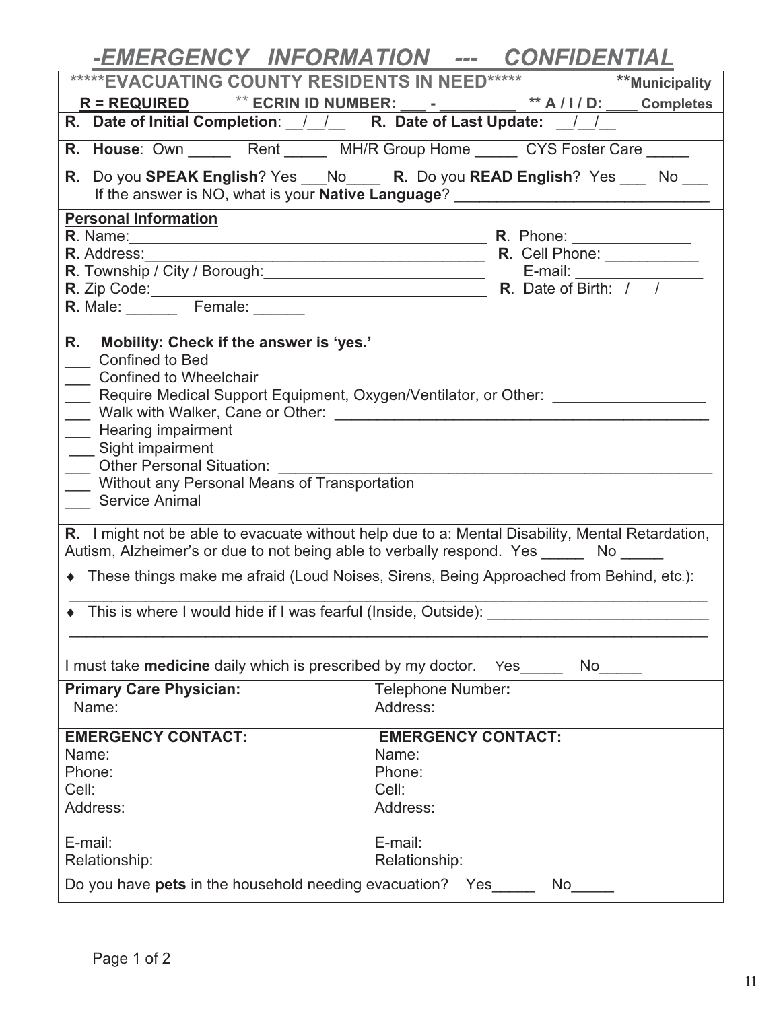| -EMERGENCY INFORMATION --- CONFIDENTIAL                                                                                                            |                                                                                                                                                                                                                                   |  |  |
|----------------------------------------------------------------------------------------------------------------------------------------------------|-----------------------------------------------------------------------------------------------------------------------------------------------------------------------------------------------------------------------------------|--|--|
|                                                                                                                                                    |                                                                                                                                                                                                                                   |  |  |
| R = REQUIRED ** ECRIN ID NUMBER: ___ - ________ ** A / I / D: ___ Completes                                                                        |                                                                                                                                                                                                                                   |  |  |
| R. Date of Initial Completion: / / R. Date of Last Update: / /                                                                                     |                                                                                                                                                                                                                                   |  |  |
| R. House: Own _______ Rent _______ MH/R Group Home ______ CYS Foster Care ______                                                                   |                                                                                                                                                                                                                                   |  |  |
|                                                                                                                                                    |                                                                                                                                                                                                                                   |  |  |
| R. Do you SPEAK English? Yes No R. Do you READ English? Yes No<br>If the answer is NO, what is your Native Language? _____________________________ |                                                                                                                                                                                                                                   |  |  |
| <b>Personal Information</b>                                                                                                                        |                                                                                                                                                                                                                                   |  |  |
|                                                                                                                                                    |                                                                                                                                                                                                                                   |  |  |
| <b>R.</b> Address:                                                                                                                                 |                                                                                                                                                                                                                                   |  |  |
|                                                                                                                                                    |                                                                                                                                                                                                                                   |  |  |
|                                                                                                                                                    | R. Township / City / Borough:<br>R. Zip Code:<br>R. Male: Female: Female: R. Male: R. Male: Female: R. Male: R. Male: R. Male: R. Male: R. Male: R. Male: R. Male: R. Male: R. Male: R. Male: R. Male: R. Male: R. Male: R. Male: |  |  |
|                                                                                                                                                    |                                                                                                                                                                                                                                   |  |  |
| Mobility: Check if the answer is 'yes.'<br>R.                                                                                                      |                                                                                                                                                                                                                                   |  |  |
| <b>Confined to Bed</b>                                                                                                                             |                                                                                                                                                                                                                                   |  |  |
| Confined to Wheelchair                                                                                                                             |                                                                                                                                                                                                                                   |  |  |
|                                                                                                                                                    | Require Medical Support Equipment, Oxygen/Ventilator, or Other: ________________                                                                                                                                                  |  |  |
|                                                                                                                                                    |                                                                                                                                                                                                                                   |  |  |
| ___ Hearing impairment                                                                                                                             |                                                                                                                                                                                                                                   |  |  |
| $\overline{\phantom{a}}$<br>Sight impairment<br><b>Other Personal Situation:</b>                                                                   |                                                                                                                                                                                                                                   |  |  |
| $\overline{\phantom{a}}$<br>Without any Personal Means of Transportation                                                                           |                                                                                                                                                                                                                                   |  |  |
| <b>Service Animal</b>                                                                                                                              |                                                                                                                                                                                                                                   |  |  |
|                                                                                                                                                    | R. I might not be able to evacuate without help due to a: Mental Disability, Mental Retardation,                                                                                                                                  |  |  |
|                                                                                                                                                    |                                                                                                                                                                                                                                   |  |  |
| Autism, Alzheimer's or due to not being able to verbally respond. Yes _______ No ______                                                            |                                                                                                                                                                                                                                   |  |  |
| • These things make me afraid (Loud Noises, Sirens, Being Approached from Behind, etc.):                                                           |                                                                                                                                                                                                                                   |  |  |
| • This is where I would hide if I was fearful (Inside, Outside):                                                                                   |                                                                                                                                                                                                                                   |  |  |
|                                                                                                                                                    |                                                                                                                                                                                                                                   |  |  |
| I must take <b>medicine</b> daily which is prescribed by my doctor.                                                                                | <b>No</b><br>Yes                                                                                                                                                                                                                  |  |  |
|                                                                                                                                                    |                                                                                                                                                                                                                                   |  |  |
| <b>Primary Care Physician:</b><br>Name:                                                                                                            | <b>Telephone Number:</b><br>Address:                                                                                                                                                                                              |  |  |
|                                                                                                                                                    |                                                                                                                                                                                                                                   |  |  |
| <b>EMERGENCY CONTACT:</b>                                                                                                                          | <b>EMERGENCY CONTACT:</b>                                                                                                                                                                                                         |  |  |
| Name:                                                                                                                                              | Name:                                                                                                                                                                                                                             |  |  |
| Phone:<br>Cell:                                                                                                                                    | Phone:<br>Cell:                                                                                                                                                                                                                   |  |  |
| Address:                                                                                                                                           | Address:                                                                                                                                                                                                                          |  |  |
|                                                                                                                                                    |                                                                                                                                                                                                                                   |  |  |
| E-mail:                                                                                                                                            | E-mail:                                                                                                                                                                                                                           |  |  |
| Relationship:                                                                                                                                      | Relationship:                                                                                                                                                                                                                     |  |  |
| Do you have pets in the household needing evacuation? Yes<br>No                                                                                    |                                                                                                                                                                                                                                   |  |  |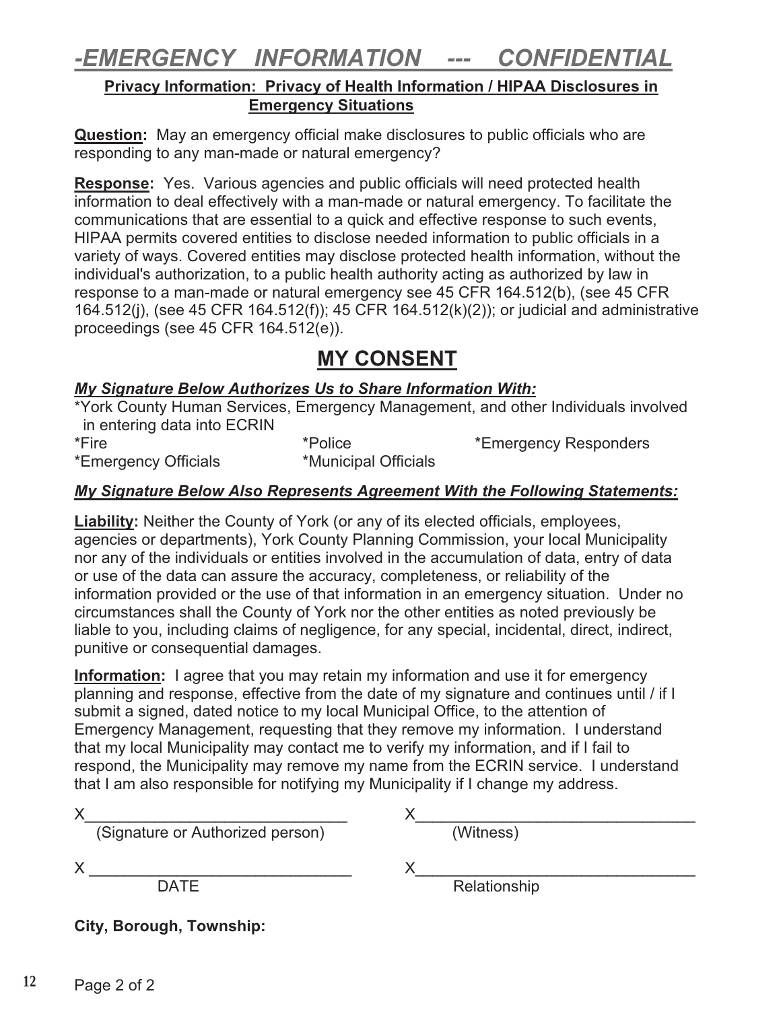### $\frac{1}{2} \frac{1}{2} \frac{1}{2} \frac{1}{2} \frac{1}{2} \frac{1}{2} \frac{1}{2} \frac{1}{2} \frac{1}{2} \frac{1}{2} \frac{1}{2} \frac{1}{2} \frac{1}{2} \frac{1}{2} \frac{1}{2} \frac{1}{2} \frac{1}{2} \frac{1}{2} \frac{1}{2} \frac{1}{2} \frac{1}{2} \frac{1}{2} \frac{1}{2} \frac{1}{2} \frac{1}{2} \frac{1}{2} \frac{1}{2} \frac{1}{2} \frac{1}{2} \frac{1}{2} \frac{1}{2} \frac{$

### **FREEGENCY INFORMATION -- CONFIDENTIAL PRIVACY INFORMATION --- Privacy Information: Privacy of Health Information / HIPAA Disclosures in Emergency Situations**

**Question:** May an emergency official make disclosures to public officials who are responding to any man-made or natural emergency?

**Response:** Yes. Various agencies and public officials will need protected health information to deal effectively with a man-made or natural emergency. To facilitate the communications that are essential to a quick and effective response to such events, HIPAA permits covered entities to disclose needed information to public officials in a variety of ways. Covered entities may disclose protected health information, without the individual's authorization, to a public health authority acting as authorized by law in response to a man-made or natural emergency see 45 CFR 164.512(b), (see 45 CFR 164.512(j), (see 45 CFR 164.512(f)); 45 CFR 164.512(k)(2)); or judicial and administrative proceedings (see 45 CFR 164.512(e)).

### **MY CONSENT**

*My Signature Below Authorizes Us to Share Information With:*  \*York County Human Services, Emergency Management, and other Individuals involved in entering data into ECRIN

\*Emergency Officials \*Municipal Officials

\*Fire \*Police \*Emergency Responders

# *My Signature Below Also Represents Agreement With the Following Statements:*

**Liability:** Neither the County of York (or any of its elected officials, employees, agencies or departments), York County Planning Commission, your local Municipality nor any of the individuals or entities involved in the accumulation of data, entry of data or use of the data can assure the accuracy, completeness, or reliability of the information provided or the use of that information in an emergency situation. Under no circumstances shall the County of York nor the other entities as noted previously be liable to you, including claims of negligence, for any special, incidental, direct, indirect, punitive or consequential damages.

**Information:** I agree that you may retain my information and use it for emergency planning and response, effective from the date of my signature and continues until / if I submit a signed, dated notice to my local Municipal Office, to the attention of Emergency Management, requesting that they remove my information. I understand that my local Municipality may contact me to verify my information, and if I fail to respond, the Municipality may remove my name from the ECRIN service. I understand that I am also responsible for notifying my Municipality if I change my address.

| Х<br>(Signature or Authorized person) | (Witness)    |  |  |  |
|---------------------------------------|--------------|--|--|--|
| <b>DATE</b>                           | Relationship |  |  |  |
| City, Borough, Township:              |              |  |  |  |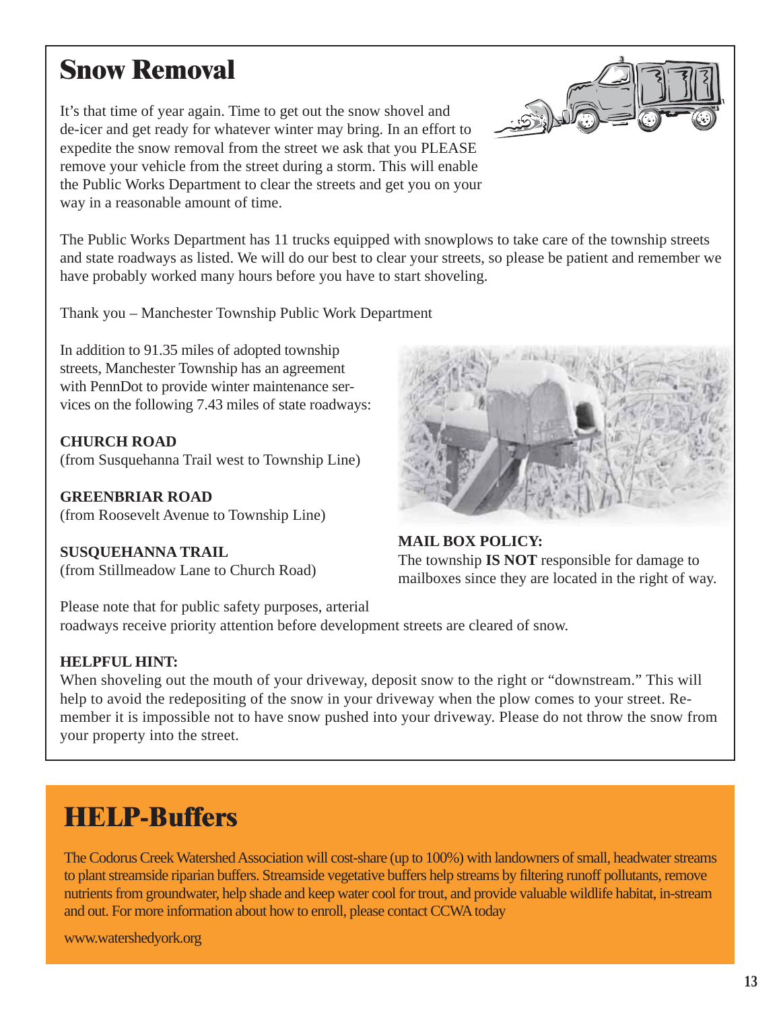### **Snow Removal**

It's that time of year again. Time to get out the snow shovel and de-icer and get ready for whatever winter may bring. In an effort to expedite the snow removal from the street we ask that you PLEASE remove your vehicle from the street during a storm. This will enable the Public Works Department to clear the streets and get you on your way in a reasonable amount of time.

The Public Works Department has 11 trucks equipped with snowplows to take care of the township streets and state roadways as listed. We will do our best to clear your streets, so please be patient and remember we have probably worked many hours before you have to start shoveling.

Thank you – Manchester Township Public Work Department

In addition to 91.35 miles of adopted township streets, Manchester Township has an agreement with PennDot to provide winter maintenance services on the following 7.43 miles of state roadways:

**CHURCH ROAD** (from Susquehanna Trail west to Township Line)

**GREENBRIAR ROAD** (from Roosevelt Avenue to Township Line)

**SUSQUEHANNA TRAIL** (from Stillmeadow Lane to Church Road)



**MAIL BOX POLICY:** The township **IS NOT** responsible for damage to mailboxes since they are located in the right of way.

Please note that for public safety purposes, arterial roadways receive priority attention before development streets are cleared of snow.

### **HELPFUL HINT:**

When shoveling out the mouth of your driveway, deposit snow to the right or "downstream." This will help to avoid the redepositing of the snow in your driveway when the plow comes to your street. Remember it is impossible not to have snow pushed into your driveway. Please do not throw the snow from your property into the street.

### **HELP-Buffers**

The Codorus Creek Watershed Association will cost-share (up to 100%) with landowners of small, headwater streams to plant streamside riparian buffers. Streamside vegetative buffers help streams by filtering runoff pollutants, remove nutrients from groundwater, help shade and keep water cool for trout, and provide valuable wildlife habitat, in-stream and out. For more information about how to enroll, please contact CCWA today

www.watershedyork.org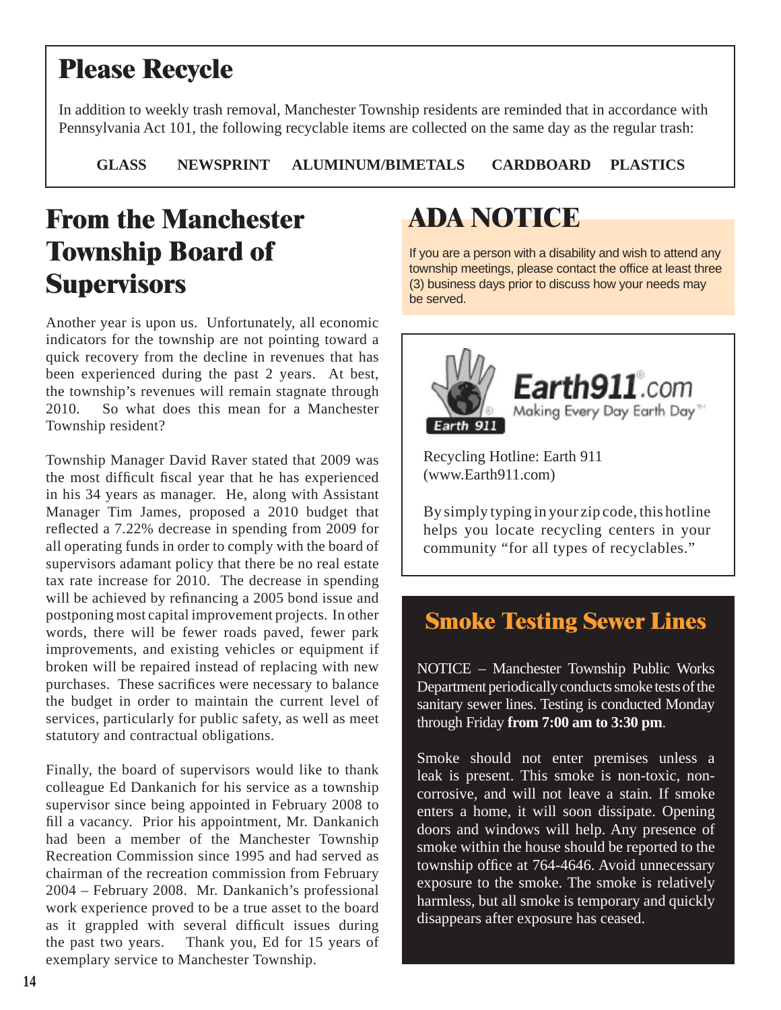# **Please Recycle**

In addition to weekly trash removal, Manchester Township residents are reminded that in accordance with Pennsylvania Act 101, the following recyclable items are collected on the same day as the regular trash:

**GLASS NEWSPRINT ALUMINUM/BIMETALS CARDBOARD PLASTICS**

# **From the Manchester Township Board of Supervisors**

Another year is upon us. Unfortunately, all economic indicators for the township are not pointing toward a quick recovery from the decline in revenues that has been experienced during the past 2 years. At best, the township's revenues will remain stagnate through 2010. So what does this mean for a Manchester Township resident?

Township Manager David Raver stated that 2009 was the most difficult fiscal year that he has experienced in his 34 years as manager. He, along with Assistant Manager Tim James, proposed a 2010 budget that reflected a 7.22% decrease in spending from 2009 for all operating funds in order to comply with the board of supervisors adamant policy that there be no real estate tax rate increase for 2010. The decrease in spending will be achieved by refinancing a 2005 bond issue and postponing most capital improvement projects. In other words, there will be fewer roads paved, fewer park improvements, and existing vehicles or equipment if broken will be repaired instead of replacing with new purchases. These sacrifices were necessary to balance the budget in order to maintain the current level of services, particularly for public safety, as well as meet statutory and contractual obligations.

Finally, the board of supervisors would like to thank colleague Ed Dankanich for his service as a township supervisor since being appointed in February 2008 to fill a vacancy. Prior his appointment, Mr. Dankanich had been a member of the Manchester Township Recreation Commission since 1995 and had served as chairman of the recreation commission from February 2004 – February 2008. Mr. Dankanich's professional work experience proved to be a true asset to the board as it grappled with several difficult issues during the past two years. Thank you, Ed for 15 years of exemplary service to Manchester Township.

# **ADA NOTICE**

If you are a person with a disability and wish to attend any township meetings, please contact the office at least three (3) business days prior to discuss how your needs may be served.



Recycling Hotline: Earth 911 (www.Earth911.com)

By simply typing in your zip code, this hotline helps you locate recycling centers in your community "for all types of recyclables."

### **Smoke Testing Sewer Lines**

NOTICE – Manchester Township Public Works Department periodically conducts smoke tests of the sanitary sewer lines. Testing is conducted Monday through Friday **from 7:00 am to 3:30 pm**.

Smoke should not enter premises unless a leak is present. This smoke is non-toxic, noncorrosive, and will not leave a stain. If smoke enters a home, it will soon dissipate. Opening doors and windows will help. Any presence of smoke within the house should be reported to the township office at 764-4646. Avoid unnecessary exposure to the smoke. The smoke is relatively harmless, but all smoke is temporary and quickly disappears after exposure has ceased.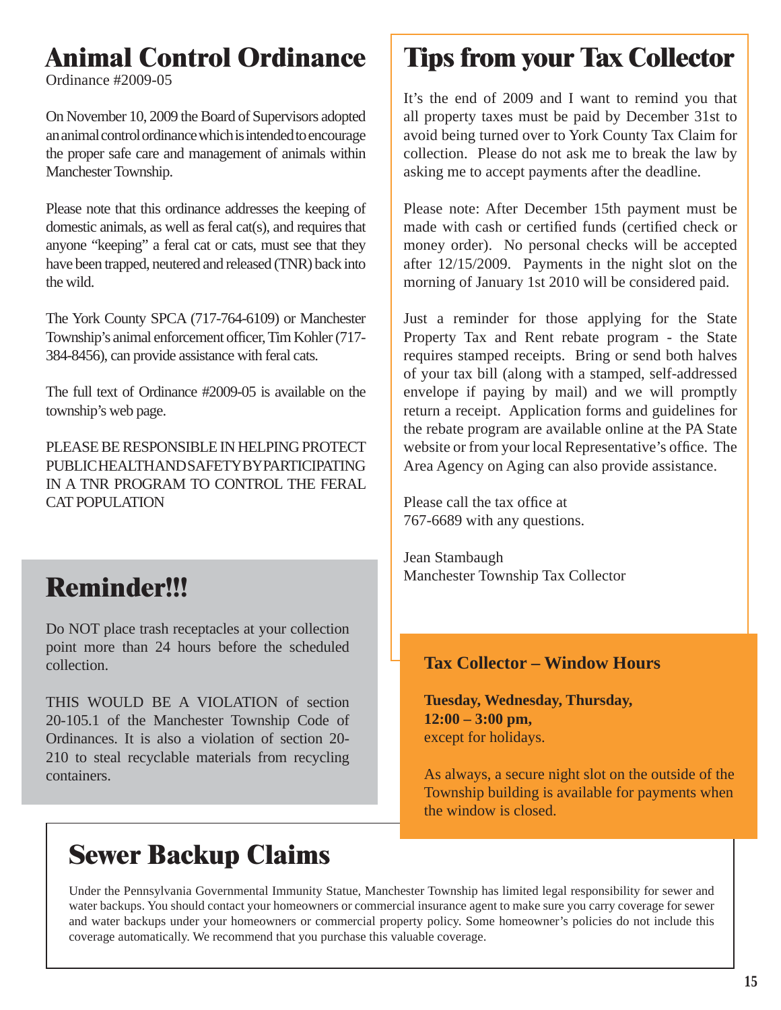# **Animal Control Ordinance**

Ordinance #2009-05

On November 10, 2009 the Board of Supervisors adopted an animal control ordinance which is intended to encourage the proper safe care and management of animals within Manchester Township.

Please note that this ordinance addresses the keeping of domestic animals, as well as feral cat(s), and requires that anyone "keeping" a feral cat or cats, must see that they have been trapped, neutered and released (TNR) back into the wild.

The York County SPCA (717-764-6109) or Manchester Township's animal enforcement officer, Tim Kohler (717-384-8456), can provide assistance with feral cats.

The full text of Ordinance #2009-05 is available on the township's web page.

PLEASE BE RESPONSIBLE IN HELPING PROTECT PUBLIC HEALTH AND SAFETY BY PARTICIPATING IN A TNR PROGRAM TO CONTROL THE FERAL CAT POPULATION

# **Reminder!!!**

Do NOT place trash receptacles at your collection point more than 24 hours before the scheduled collection.

THIS WOULD BE A VIOLATION of section 20-105.1 of the Manchester Township Code of Ordinances. It is also a violation of section 20- 210 to steal recyclable materials from recycling containers.

# **Sewer Backup Claims**

# **Tips from your Tax Collector**

It's the end of 2009 and I want to remind you that all property taxes must be paid by December 31st to avoid being turned over to York County Tax Claim for collection. Please do not ask me to break the law by asking me to accept payments after the deadline.

Please note: After December 15th payment must be made with cash or certified funds (certified check or money order). No personal checks will be accepted after 12/15/2009. Payments in the night slot on the morning of January 1st 2010 will be considered paid.

Just a reminder for those applying for the State Property Tax and Rent rebate program - the State requires stamped receipts. Bring or send both halves of your tax bill (along with a stamped, self-addressed envelope if paying by mail) and we will promptly return a receipt. Application forms and guidelines for the rebate program are available online at the PA State website or from your local Representative's office. The Area Agency on Aging can also provide assistance.

Please call the tax office at 767-6689 with any questions.

Jean Stambaugh Manchester Township Tax Collector

### **Tax Collector – Window Hours**

**Tuesday, Wednesday, Thursday, 12:00 – 3:00 pm,** except for holidays.

As always, a secure night slot on the outside of the Township building is available for payments when the window is closed.

Under the Pennsylvania Governmental Immunity Statue, Manchester Township has limited legal responsibility for sewer and water backups. You should contact your homeowners or commercial insurance agent to make sure you carry coverage for sewer and water backups under your homeowners or commercial property policy. Some homeowner's policies do not include this coverage automatically. We recommend that you purchase this valuable coverage.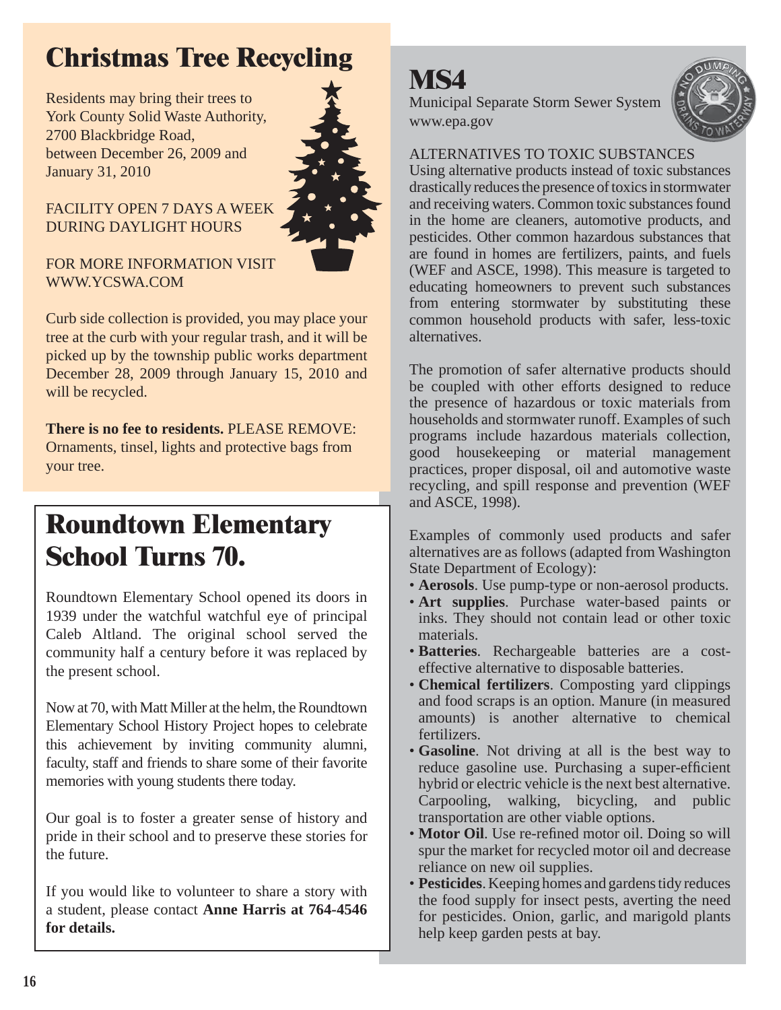# **Christmas Tree Recycling**

Residents may bring their trees to York County Solid Waste Authority, 2700 Blackbridge Road, between December 26, 2009 and January 31, 2010



### FACILITY OPEN 7 DAYS A WEEK DURING DAYLIGHT HOURS

FOR MORE INFORMATION VISIT WWW.YCSWA.COM

Curb side collection is provided, you may place your tree at the curb with your regular trash, and it will be picked up by the township public works department December 28, 2009 through January 15, 2010 and will be recycled.

**There is no fee to residents.** PLEASE REMOVE: Ornaments, tinsel, lights and protective bags from your tree.

### **Roundtown Elementary School Turns 70.**

Roundtown Elementary School opened its doors in 1939 under the watchful watchful eye of principal Caleb Altland. The original school served the community half a century before it was replaced by the present school.

Now at 70, with Matt Miller at the helm, the Roundtown Elementary School History Project hopes to celebrate this achievement by inviting community alumni, faculty, staff and friends to share some of their favorite memories with young students there today.

Our goal is to foster a greater sense of history and pride in their school and to preserve these stories for the future.

If you would like to volunteer to share a story with a student, please contact **Anne Harris at 764-4546 for details.**

# **MS4**

Municipal Separate Storm Sewer System www.epa.gov



ALTERNATIVES TO TOXIC SUBSTANCES

Using alternative products instead of toxic substances drastically reduces the presence of toxics in stormwater and receiving waters. Common toxic substances found in the home are cleaners, automotive products, and pesticides. Other common hazardous substances that are found in homes are fertilizers, paints, and fuels (WEF and ASCE, 1998). This measure is targeted to educating homeowners to prevent such substances from entering stormwater by substituting these common household products with safer, less-toxic alternatives.

The promotion of safer alternative products should be coupled with other efforts designed to reduce the presence of hazardous or toxic materials from households and stormwater runoff. Examples of such programs include hazardous materials collection, good housekeeping or material management practices, proper disposal, oil and automotive waste recycling, and spill response and prevention (WEF and ASCE, 1998).

Examples of commonly used products and safer alternatives are as follows (adapted from Washington State Department of Ecology):

- **Aerosols**. Use pump-type or non-aerosol products.
- **Art supplies**. Purchase water-based paints or inks. They should not contain lead or other toxic materials.
- **Batteries**. Rechargeable batteries are a costeffective alternative to disposable batteries.
- **Chemical fertilizers**. Composting yard clippings and food scraps is an option. Manure (in measured amounts) is another alternative to chemical fertilizers.
- **Gasoline**. Not driving at all is the best way to reduce gasoline use. Purchasing a super-efficient hybrid or electric vehicle is the next best alternative. Carpooling, walking, bicycling, and public transportation are other viable options.
- **Motor Oil**. Use re-refined motor oil. Doing so will spur the market for recycled motor oil and decrease reliance on new oil supplies.
- **Pesticides**. Keeping homes and gardens tidy reduces the food supply for insect pests, averting the need for pesticides. Onion, garlic, and marigold plants help keep garden pests at bay.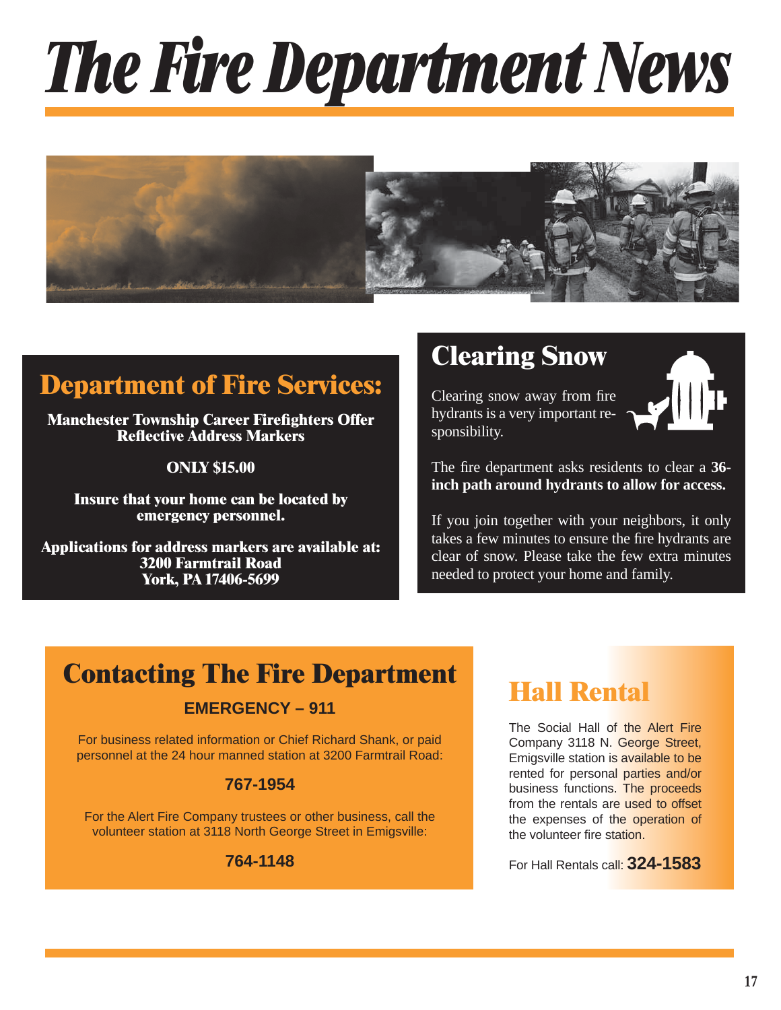# *The Fire Department News*



### **Department of Fire Services:**

**Manchester Township Career Firefighters Offer Refl ective Address Markers**

**ONLY \$15.00**

**Insure that your home can be located by emergency personnel.**

**Applications for address markers are available at: 3200 Farmtrail Road York, PA 17406-5699**

### **Clearing Snow**

Clearing snow away from fire hydrants is a very important responsibility.



The fire department asks residents to clear a 36**inch path around hydrants to allow for access.**

If you join together with your neighbors, it only takes a few minutes to ensure the fire hydrants are clear of snow. Please take the few extra minutes needed to protect your home and family.

### **Contacting The Fire Department**

### **EMERGENCY – 911**

For business related information or Chief Richard Shank, or paid personnel at the 24 hour manned station at 3200 Farmtrail Road:

### **767-1954**

For the Alert Fire Company trustees or other business, call the volunteer station at 3118 North George Street in Emigsville:

### **764-1148**

### **Hall Rental**

The Social Hall of the Alert Fire Company 3118 N. George Street, Emigsville station is available to be rented for personal parties and/or business functions. The proceeds from the rentals are used to offset the expenses of the operation of the volunteer fire station.

For Hall Rentals call: **324-1583**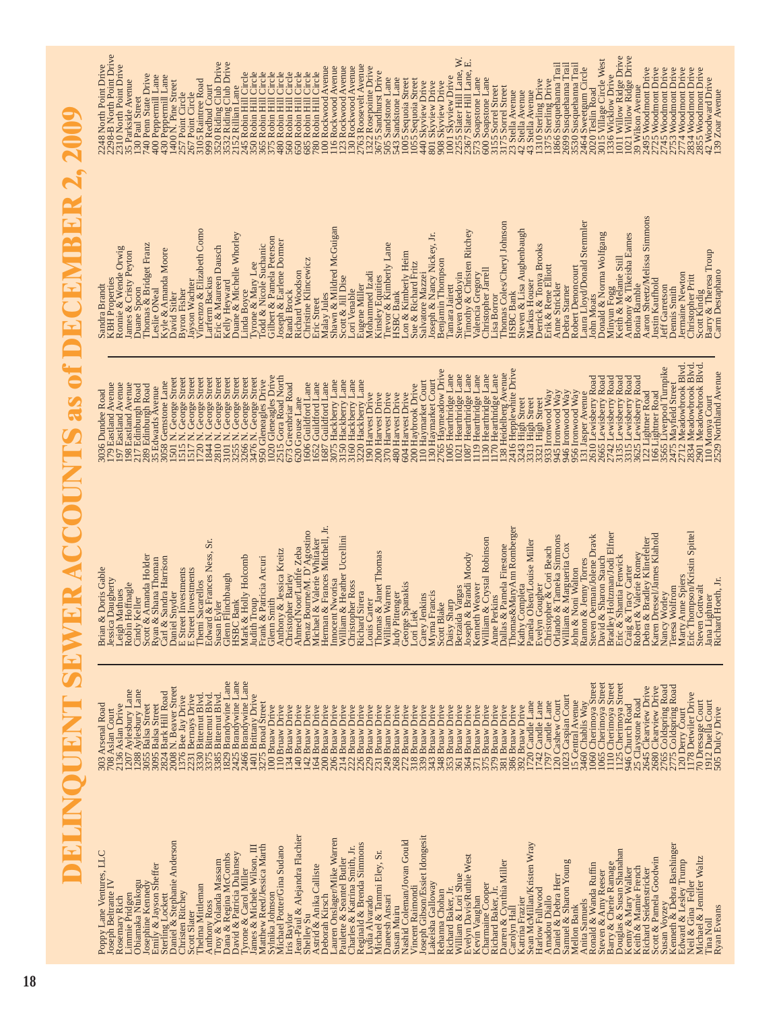**DELINQUENT SEWER ACCOUNTS as of DECEMBER 2, 2009**DELINQUENT SEWER ACCOUNTS as of DECEMBER 2, 2009

Dana & Regina McCombs 1829 Brandywine Lane David & Patricia Dulansey 2425 Brandywine Lane Tyrone & Carol Miller 2466 Brandywine Lane Ronald & Wanda Ruffin 1060 Cherimoya Street Steven & Amy Reeser 1065 Cherimoya Street Douglas & Susan Shanahan 1125 Cherimoya Street Barry & Cherie Ramage 1110 Cherimoya Street Daniel & Stephanie Anderson 2008 N. Beaver Street Susan Voyzey 2765 Coldspring Road Kenneth & Debra Barshinger 2775 Coldspring Road Richard Seidenstricker 2645 Clearview Drive Scott & Pamela Goodwin 2680 Clearview Drive Limmie Pridgen 1207 Aylesbury Lane Obiamaka Ntukogu 1288 Aylesbury Lane Sterling Lockett 2824 Bark Hill Road Thelma Mittleman 3330 Bitternut Blvd. Anthony Ross 3375 Bitternut Blvd. Troy & Yolanda Massam 3385 Bitternut Blvd. Neil & Gina Feller 1178 Detwiler Drive Christen Ritchey 1376 Bee Jay Drive Scott Slater 2231 Bernays Drive James & Michele Wilson, III 1401 Brittany Drive Samuel & Sharon Young 1023 Caspian Court Keith & Mamie French 25 Claystone Road Daniel & Debra Herr 120 Cashew Court Mellon Bank 15 Central Avenue Michael & Jennifer Waltz 70 Dressage Court Tina Noll 1912 Duella Court Matthew Reed/Jessica Marth 3275 Broad Street Sean McMillan/Kristen Wray 1720 Candle Lane Harlow Fullwood 1742 Candle Lane Amadou Diallo 1797 Candle Lane Anita Samuels 3460 Chablis Way Poppy Lane Ventures, LLC 303 Arsenal Road Emily & Jayson Sheffer 3095 Balsa Street Rosemary Rich 2136 Aslan Drive Josephine Kennedy 3055 Balsa Street Sylnika Johnson 100 Bruaw Drive Iris Baylor 134 Bruaw Drive Jean-Paul & Alejandra Flachier 140 Bruaw Drive Shelley Su 142 Bruaw Drive Astrid & Anika Calliste 164 Bruaw Drive Deborah Kirsch 200 Bruaw Drive Lauren Onslager/Mike Warren 206 Bruaw Drive Paulette & Seantel Butler 214 Bruaw Drive Charles & Katrina Smith, Jr. 222 Bruaw Drive Reginald & Brenda Simmons 226 Bruaw Drive Lydia Alvarado 229 Bruaw Drive Michael & Tammi Eley, Sr. 231 Bruaw Drive Daneesh Ansari 249 Bruaw Drive Susan Muiru 268 Bruaw Drive Nashid Coleman/Jovan Gould 272 Bruaw Drive Vincent Raimondi 318 Bruaw Drive Joseph Gibson/Essiet Idongesit 339 Bruaw Drive Lakeisha Galloway 343 Bruaw Drive Rehanna Chohan 348 Bruaw Drive Richard Baker, Jr. 353 Bruaw Drive William & Lori Shue 361 Bruaw Drive Evelyn Davis/Ruthie West 364 Bruaw Drive Kevin Vaughan 371 Bruaw Drive Charmaine Cooper 375 Bruaw Drive Richard Baker, Jr. 379 Bruaw Drive Darren & Cynthia Miller 1988 381 Bruaw Drive Carolyn Hall 386 Bruaw Drive Katrina Frazier 392 Bruaw Drive Kenny & Mary Walker 946 Church Road Michael Potter/Gina Sudano 110 Bruaw Drive Joseph Beltrante IV 708 Aslan Court Edward & Lesley Trump 120 Derry Court Ryan Eveans **6. The Soulter Sof Dulcy Drive** Anthony Ross<br>
Troy & Yolanda McCombs<br>
David & Patricia Dulansey<br>
David & Patricia Dulansey<br>
Tyrone & Carol Miller<br>
Tyrone & Carol Miller<br>
Matthese Reed/Jessia Marth<br>
Matthese Reed/Jessia Marth<br>
Sylnika Johnson<br>
Ins Baylo<br> Leven Onslager/Mike Warren<br>Paulette & Seantel Butler<br>Charles & Katrina Sinth, Jr.<br>Charles & Katrina Sinth, Jr.<br>Legina & Brenda Simmons<br>Legina Alvard<br>Michael & Tammi Eley, Sr.<br>Shassed Ansari<br>Nashid Coleman/Jovan Gould<br>Vince Joseph Gibson/Essaet Idongesit<br>Lakeisha Galloway<br>Lakeisha Galloway<br>Richard Baker, Jr.<br>Richard Baker, Jr.<br>William & Lori Shue<br>Charmaine Cooper<br>Charmaine Baker, Jr.<br>Dicharmaine Cooper<br>Carolyn Hail<br>Matter & Miller<br>Mannal Rake Rosenary Rich<br>Ohanne Pridgen<br>Josephine Kennedy<br>Josephine Kennedy<br>Semily & Jayson Sheffer<br>Sunisten Richey<br>Chnisten Ritchey<br>Schristen Richey<br>Theima Mittlennan Poppy Lane Ventures, LLC<br>Joseph Beltrante IV Ryan Eveans

Leigh Mathues<br>Robin Hoffnagle<br>Cindy Keller Judy Pittenger<br>George Spanakis<br>Lori Liek Christopher Ross Carey Jenkins<br>Myrna Francis<br>Soott Blake Teresa Wolfrom **Richard Sirera Nancy Worley** 303 Arsenal Road<br>2003 ARS Alan Court<br>2003 Aslan Court<br>2007 Ayakabury Lane<br>2015 Ayakabury Lane<br>2016 Ayakabury Lane<br>2016 Ayakabury Lane<br>2018 Ayakabury Lane<br>2018 Ayakabury Lane<br>2018 Ayakabury Lane<br>2018 Ayakabury Lane<br>2018 Aya 15 Central Avenue<br>
1060 Chatilis Wa Street<br>
1066 Cherimoya Street<br>
1065 Cherimoya Street<br>
1110 Cherimoya Street<br>
1110 Cherimoya Street<br>
946 Church Road 2645 Clearview Drive 2765 Coldspring Road<br>2775 Coldspring Road 120 Derry Court<br>1178 Detwiler Drive 120 Cashew Court<br>1023 Caspian Court 70 Dressage Court<br>1912 Duella Court<br>505 Dulcy Drive 25 Claystone Road<br>2645 Clearview Dri

Marty Anne Spiers 2712 Meadowbrook Blvd. Eric Thompson/Kristin Spittel 2834 Meadowbrook Blvd. Steven Gottwalt 2901 Meadowbrook Blvd. Nancy Worley 3565 Liverpool Turnpike Thomas&MaryAnn Romberger 2416 Hepplewhite Drive Scott Blake 2765 Haymeadow Drive Richard Hoeth, Jr. 2529 Northland Avenue Dallas & Pamela Firestone 138 Heidelberg Avenue Glenn Smith 1020 Gleneagles Drive Anthony & Jessica Kreitz 2515 Gora Road North Daisy Sharp 1005 Hearthridge Lane Betzaida Vargas 1021 Hearthridge Lane Joseph & Brandi Moody 1087 Hearthridge Lane Kenneth Weaver 1119 Hearthridge Lane William & Crystal Robinson 1130 Hearthridge Lane Anne Perkins 1170 Hearthridge Lane Steven Oerman/Jolene Dravk 2610 Lewisberry Road David & Sharon Stauch 2665 Lewisberry Road Bradley Holtzman/Jodi Elfner 2742 Lewisberry Road Eric & Shantia Fenwick 3135 Lewisberry Road Craig & Tracy Carter 3315 Lewisberry Road Robert & Valerie Romey 3625 Lewisberry Road Daniel Snyder 1501 N. George Street E Street Investments 1515 N. George Street E Street Investments 1517 N. George Street Themi Sacarellos 1720 N. George Street Edward & Frances Ness, Sr. 1844 N. George Street Susan Eyler 2810 N. George Street Glenn Flinchbaugh 3101 N. George Street HSBC Bank 3255 N. George Street Mark & Holly Holcomb 3266 N. George Street Judith Troup 3476 N. George Street Frank & Patricia Arcuri 1950 Gleneagles Drive Innocent Nworisa 3075 Hackberry Lane William & Heather Uccellini 3150 Hackberry Lane Christopher Ross 3160 Hackberry Lane Richard Sirera 3220 Hackberry Lane Carey Jenkins 110 Haymarket Court Myrna Francis 130 Haymarket Court Carl & Sandra Harrison 3058 Gemstone Lane Jessica Daugherty 179 Eastland Avenue Leigh Mathues 197 Eastland Avenue Robin Hoffnagle 198 Eastland Avenue Christopher Barley 673 Greenbriar Road Denaz Bourne/M. D'Agostino 1606 Guildford Lane Michael & Valerie Whitaker 1652 Guildford Lane Herman & Frances Mitchell, Jr. 1687 Guildford Lane Teresa Wolfrom 2475 Mayfield Street Cindy Keller 217 Edinburgh Road Scott & Amanda Holder 289 Edinburgh Road Lori Liek 200 Haybrook Drive Ryan & Shana Thoman 35 Edwards Avenue Brian & Doris Gable 3036 Dundee Road Christopher & Cori Beach 933 Ironwood Way Orlando & Tameka Simmons 945 Ironwood Way William & Marguerita Cox 946 Ironwood Way John & Noni Walton 956 Ironwood Way Debra & Bradley Klinefelter 122 Lightner Road Karen Dressel/James Klahold 166 Lightner Road Louis Carter 190 Harvest Drive Thomas & Janet Thomas 200 Harvest Drive William Warren 370 Harvest Drive Judy Pittenger 480 Harvest Drive George Spanakis 604 Harvest Drive Ramon & Jenny Torres 131 Jasper Avenue Jana Lightner 110 Monya Court Ahmed Noor/Luthfe Zeba 620 Grouse Lane Kathy Completa 3243 High Street Pamela Olsen/Louise Miller 3313 High Street Evelyn Gougher 3321 High Street HSBC Bank<br>Mark & Holly Holcomb<br>Trauth & Pauricia Arcuri<br>Glenn Smith<br>Chinsopy & Basica Kreitz<br>Christopy & Basica Kreitz<br>Ahmed Noor/Luthe Zoba<br>Ahmed Noor/Luthe Zoba<br>Menaz & Walcom, D'Agostino<br>Menaz & Walcom, D'Agostino<br>Hemna Ramon & Jenny Torres<br>Steven Oerman/Jolene Dravk<br>Bavid & Sharnon Steven Oravk<br>Brie & Shantia Fenwick<br>Erie & Shantia Fenwick<br>Craig & Tracy Carter<br>Craig & Tracy Carter<br>Debort & Vaderie Rinnelelter<br>Debort & Vaderie Rinnelelter Thomas&MaryAnn Romberger<br>Kathy Completa<br>Pamela Olsen/Louise Miller Evelyn Gougher<br>Christopher & Cori Beach<br>Christopher & Cori Beach<br>Williando & Tameka Simmons<br>Willion<br>John & Noni Walton Marty Anne Spiers<br>Eric Thompson/Kristin Spittel Innocent Nworisa<br>William & Heather Uccellini Kenneth Weaver<br>William & Crystal Robinson Sr. Anne Perkins<sup>7</sup><br>Dallas & Pamela Firestone Scott & Amanda Holder<br>Ryan & Shana Thoman<br>Carl & Sandra Harrison<br>Daniel Snyder Edward & Frances Ness, Louis Carter<br>Thomas & Janet Thomas<br>William Warren Daisy Sharp<br>Betzaida Vargas<br>Ioseph & Brandi Moody  $\rm E$  Street Investments  $\rm E$  Street Investments Brian & Doris Gable Susan Eyler<br>Glenn Flinchbaugh Steven Gottwalt<br>Jana Lightner<br>Richard Hoeth, Jr. essica Daugherty Themi Sacarellos

1021 Hearthridge Lane<br>
1021 Hearthridge Lane<br>
1037 Hearthridge Lane<br>
1130 Hearthridge Lane<br>
1130 Hearthridge Lane<br>
1130 Hearthridge Lane<br>
1130 Hearthridge Lane<br>
1130 Hearthridge Lane<br>
2313 High Street<br>
3313 High Street<br>
33 303 Rotation Language<br>
1501 N. George Street<br>
1515 N. George Street<br>
1515 N. George Street<br>
1515 N. George Street<br>
1720 N. George Street<br>
1720 N. George Street<br>
1720 N. George Street<br>
1720 N. George Street<br>
1720 N. George 179 Bastland Avenue<br>197 Eastland Avenue<br>198 Bastland Avenue<br>208 Banburgh Road<br>289 Bdinburgh Road<br>35 Edwards Avenue 036 Dundee Road

Steven Odedoyin 2255 Slater Hill Lane, W. KBH Properties 2298-B North Point Drive Keith & Melanie Still 1011 Willow Ridge Drive Anthony & Tikeisha Eames 1021 Willow Ridge Drive Donald & Norma Wolfgang 3015 Village Circle West Timothy & Christen Ritchey 2367 Slater Hill Lane, E. Eric & Maureen Dausch 3520 Riding Club Drive Kelly Heyward 3532 Riding Club Drive Anne Strickler 1866 Susquehanna Trail Debra Starner 2699 Susquehanna Trail Robert Denoncourt 3530 Susquehanna Trail Eugene Miller 2763 Roosevelt Avenue Sandra Brandt 2248 North Point Drive Ronnie & Wende Orwig 2310 North Point Drive Scott & Jill Dise 123 Rockwood Avenue Malay Jules 100 Rockwood Avenue Shawn & Mildred McGuigan 116 Rockwood Avenue Lori Venable 130 Rockwood Avenue Mohammed Izadi 1322 Rosepointe Drive Laura Lloyd/Donald Stemmler 2464 Sweetgum Circle Aaron Sheetz/Melissa Simmons 2495 Woodmont Drive Justin Kaufhold 2725 Woodmont Drive Jeff Garretson 2745 Woodmont Drive Dennis Smith 2753 Woodmont Drive Jermaine Newton 2774 Woodmont Drive Christopher Pritt 2834 Woodmont Drive Scott Kindig 2855 Woodmont Drive Linda Boyce 245 Robin Hill Circle Tyrone & Mary Lee 350 Robin Hill Circle Todd & Nicole Suchanic 365 Robin Hill Circle Gilbert & Pamela Peterson 375 Robin Hill Circle Joseph & Earlene Dormer 480 Robin Hill Circle Randi Brock 560 Robin Hill Circle Richard Woodson 650 Robin Hill Circle Christine Klincewicz 685 Robin Hill Circle Eric Street 780 Robin Hill Circle Kinsley Equities 3675 Sandhurst Drive Thomas & Bridget Franz 740 Penn State Drive Leslie ONeal 400 Peppermill Lane Kyle & Amanda Moore 430 Peppermill Lane Minyun Fogg 1336 Wicklow Drive Tamara Jairett 1001 Skyview Drive Vincenzo & Elizabeth Como 3105 Raintree Road Trevor & Kimberly Lane 505 Sandstone Lane HSBC Bank 543 Sandstone Lane Lon & Kimberly Heim 1005 Sequoia Street Sue & Richard Fritz 1055 Sequoia Street Valencia Gregory 573 Soapstone Lane Christopher Jarrell 600 Soapstone Lane Barry & Theresa Troup 42 Woodward Drive James & Cristy Peyton 35 Parkside Avenue David Sitler 1400 N. Pine Street Derrick & Tonya Brooks 1310 Sterling Drive Erik & Rene Elliott 1375 Sterling Drive Salvatore Mazzei 440 Skyview Drive Joseph & Nancy Nickey, Jr. 801 Skyview Drive Benjamin Thompson 908 Skyview Drive Larferm Backus 999 Redbud Court Duane & Michelle Whorley 2152 Rillian Lane Lisa Borror 3155 Sorrel Street Thomas Coles/Cheryl Johnson 3175 Sorrel Street Bonia Ramble 39 Wilson Avenue John Moats 2020 Teslin Road Carm Destaphano 139 Zoar Avenue HSBC Bank 23 Stella Avenue Steven & Lisa Aughenbaugh 42 Stella Avenue Markus Houser 43 Stella Avenue Byron Fisher 257 Point Circle Jayson Wachter 267 Point Circle Duane Spoon 130 Paul Street bouna Kannote<br>Aaron Sheetz/Melissa Simmons<br>Justin Kaufhold Thomas Coles/Cheryl Johnson<br>HSBC Bank Laura Lloyd/Donald Stemmler Kelly Heyward<br>Duane & Michelle Whorley<br>Linda Boyce<br>Tyome & Mary Lee<br>Tyome & Mary Lee<br>Gilbert & Pannela Peterson<br>Gilbert & Pannela Peterson<br>Loseph & Earlene Dormer Eric Street<br>Malay Jules<br>Shawn & Mildred McGuigan<br>Scott & Jill Dise Eugen Miller<br>Mohammed Lzadi<br>Mohammed Lzadi<br>Trisusly Equities<br>HSBC Bank<br>HSBC Bank<br>Lon & Kimberly Heim<br>Lon & Khard Fritz<br>Sue & Rohard Fritz<br>Joseph & Nancy Nickey, Jr.<br>Denjamin Thompson Tamara Jairett<br>Steven Odedoyin<br>Timothy & Christen Ritchey Vincenzo & Elizabeth Como Steven & Lisa Aughenbaugh<br>Markus Houser Minyun Fogg<br>Keith & Melanie Still<br>Anthony & Tikeisha Eames Donald & Norma Wolfgang Duane Spoon<br>Thomas & Bridget Franz<br>Leslie ONeal KBH Properties<br>Ronnie & Wende Orwig Larferm Backus<br>Eric & Maureen Dausch rran sus rrotase<br>Derrick & Tonya Brooks<br>Erik & Rene Elliott Kyle & Amanda Moore<br>David Sitler Barry & Theresa Troup<br>Carm Destaphano James & Cristy Peyton Randi Brock<br>Richard Woodson<br>Christine Klincewicz Valencia Gregory<br>Christopher Jarrell Robert Denoncourt Jermaine Newton<br>Christopher Pritt layson Wachter Anne Strickler<br>Debra Starner Bonia Ramble Sandra Brandt leff Garretson Dennis Smith Scott Kindig **Byron Fisher** Lori Venable Lisa Borror **John Moats** 

3015 Village Circle West<br>1336 Wicklow Drive<br>1021 Willow Ridge Drive<br>1021 Willow Ridge Drive<br>239 Wilson Avenue<br>2225 Woodmont Drive 1055 Sequoia Street<br>
40 Skyview Drive<br>
908 Skyview Drive<br>
908 Skyview Drive<br>
908 Skyview Drive<br>
908 Skyview Drive<br>
908 Skyview Drive<br>
908 Skyview Drive<br>
705 Share Lane<br>
705 Some Street<br>
705 Some Street<br>
705 Some Street<br>
70 2248 North Point Drive<br>2298-B North Point Drive<br>2310 North Point Drive 35 Parkside Awanner<br>190 Paul Street<br>190 Peppermill Lane<br>400 Peppermill Lane<br>400 Peppermill Lane<br>400 Peppermill Lane<br>400 Peppermill Lane<br>579 Point Cricle<br>58 November Club Drive<br>579 Not Cricle<br>58 Not Cricle Club Drive<br>58 Not 1310 Sterling Drive<br>1375 Sterling Drive<br>1866 Susquehanna Trail<br>2699 Susquehanna Trail 2743 Woodmont Drive<br>2753 Woodmont Drive<br>2774 Woodmont Drive<br>2834 Woodmont Drive<br>2834 Woodward Drive<br>42 Woodward Drive<br>139 Zoar Avenue 3530 Susquehanna Trail 2464 Sweetgum Circle<br>2020 Teslin Road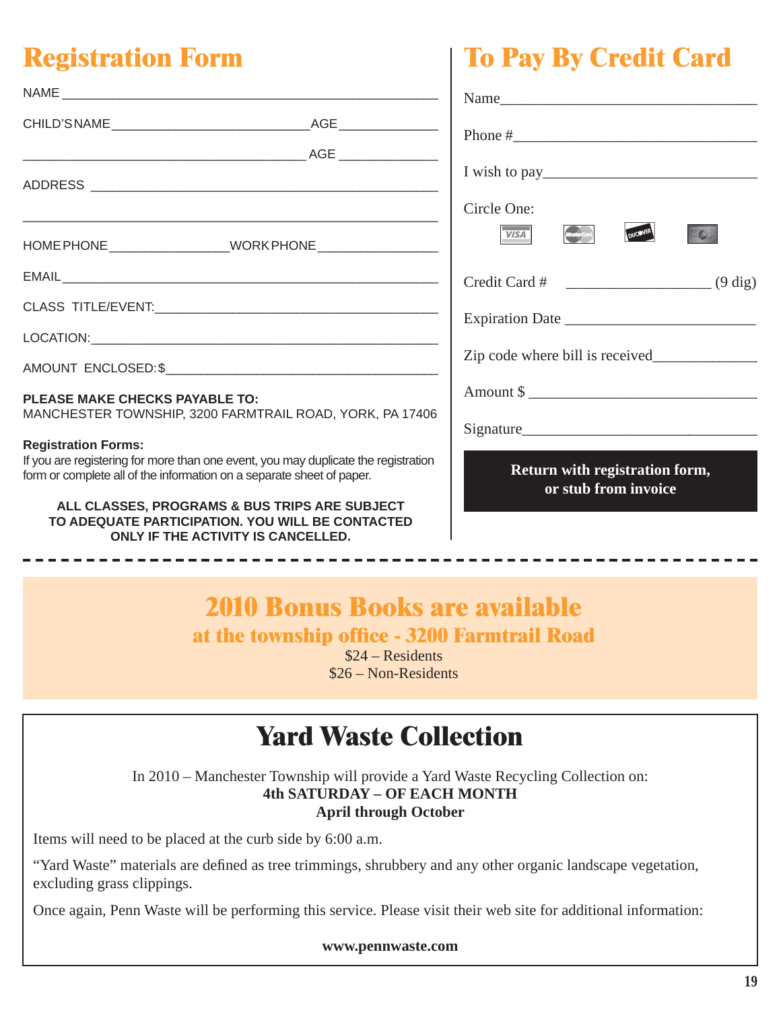# **Registration Form**

|                                                                                                                                                                                           | Name                                                   |
|-------------------------------------------------------------------------------------------------------------------------------------------------------------------------------------------|--------------------------------------------------------|
|                                                                                                                                                                                           |                                                        |
|                                                                                                                                                                                           |                                                        |
|                                                                                                                                                                                           | Circle One:<br>VISA <sup>1</sup>                       |
|                                                                                                                                                                                           |                                                        |
|                                                                                                                                                                                           |                                                        |
|                                                                                                                                                                                           |                                                        |
|                                                                                                                                                                                           |                                                        |
| <b>PLEASE MAKE CHECKS PAYABLE TO:</b><br>MANCHESTER TOWNSHIP, 3200 FARMTRAIL ROAD, YORK, PA 17406                                                                                         |                                                        |
| <b>Registration Forms:</b><br>If you are registering for more than one event, you may duplicate the registration<br>form or complete all of the information on a separate sheet of paper. | Return with registration form,<br>or stub from invoice |
| ALL CLASSES, PROGRAMS & BUS TRIPS ARE SUBJECT<br>TO ADEQUATE PARTICIPATION. YOU WILL BE CONTACTED<br>ONLY IF THE ACTIVITY IS CANCELLED.                                                   |                                                        |

**To Pay By Credit Card**

# **2010 Bonus Books are available**

at the township office - 3200 Farmtrail Road

\$24 – Residents \$26 – Non-Residents

# **Yard Waste Collection**

In 2010 – Manchester Township will provide a Yard Waste Recycling Collection on: **4th SATURDAY – OF EACH MONTH April through October**

Items will need to be placed at the curb side by 6:00 a.m.

"Yard Waste" materials are defined as tree trimmings, shrubbery and any other organic landscape vegetation, excluding grass clippings.

Once again, Penn Waste will be performing this service. Please visit their web site for additional information:

**www.pennwaste.com**